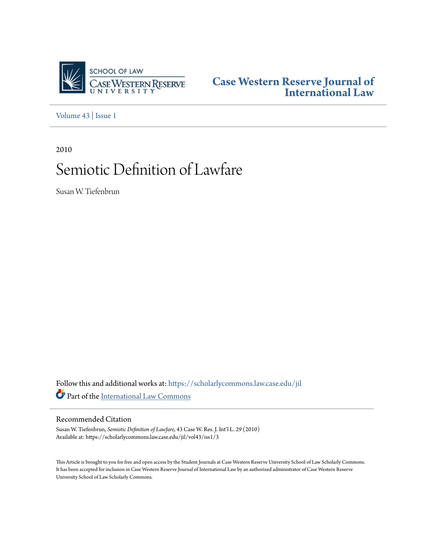

**[Case Western Reserve Journal of](https://scholarlycommons.law.case.edu/jil?utm_source=scholarlycommons.law.case.edu%2Fjil%2Fvol43%2Fiss1%2F3&utm_medium=PDF&utm_campaign=PDFCoverPages) [International Law](https://scholarlycommons.law.case.edu/jil?utm_source=scholarlycommons.law.case.edu%2Fjil%2Fvol43%2Fiss1%2F3&utm_medium=PDF&utm_campaign=PDFCoverPages)**

[Volume 43](https://scholarlycommons.law.case.edu/jil/vol43?utm_source=scholarlycommons.law.case.edu%2Fjil%2Fvol43%2Fiss1%2F3&utm_medium=PDF&utm_campaign=PDFCoverPages) | [Issue 1](https://scholarlycommons.law.case.edu/jil/vol43/iss1?utm_source=scholarlycommons.law.case.edu%2Fjil%2Fvol43%2Fiss1%2F3&utm_medium=PDF&utm_campaign=PDFCoverPages)

2010

# Semiotic Definition of Lawfare

Susan W. Tiefenbrun

Follow this and additional works at: [https://scholarlycommons.law.case.edu/jil](https://scholarlycommons.law.case.edu/jil?utm_source=scholarlycommons.law.case.edu%2Fjil%2Fvol43%2Fiss1%2F3&utm_medium=PDF&utm_campaign=PDFCoverPages) Part of the [International Law Commons](http://network.bepress.com/hgg/discipline/609?utm_source=scholarlycommons.law.case.edu%2Fjil%2Fvol43%2Fiss1%2F3&utm_medium=PDF&utm_campaign=PDFCoverPages)

# Recommended Citation

Susan W. Tiefenbrun, *Semiotic Definition of Lawfare*, 43 Case W. Res. J. Int'l L. 29 (2010) Available at: https://scholarlycommons.law.case.edu/jil/vol43/iss1/3

This Article is brought to you for free and open access by the Student Journals at Case Western Reserve University School of Law Scholarly Commons. It has been accepted for inclusion in Case Western Reserve Journal of International Law by an authorized administrator of Case Western Reserve University School of Law Scholarly Commons.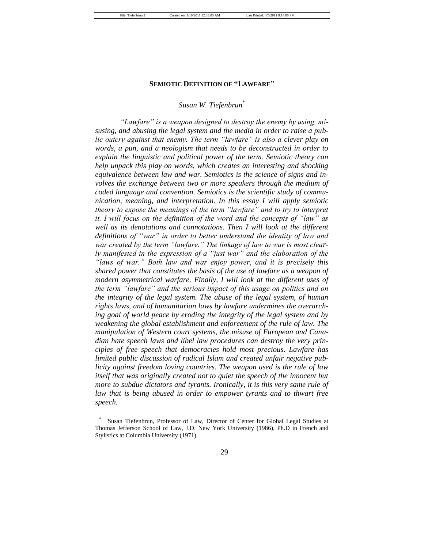#### **SEMIOTIC DEFINITION OF "LAWFARE"**

# *Susan W. Tiefenbrun*\*

"Lawfare" is a weapon designed to destroy the enemy by using, mi*susing, and abusing the legal system and the media in order to raise a public outcry against that enemy. The term "lawfare" is also a clever play on words, a pun, and a neologism that needs to be deconstructed in order to explain the linguistic and political power of the term. Semiotic theory can help unpack this play on words, which creates an interesting and shocking equivalence between law and war. Semiotics is the science of signs and involves the exchange between two or more speakers through the medium of coded language and convention. Semiotics is the scientific study of communication, meaning, and interpretation. In this essay I will apply semiotic theory to expose the meanings of the term "lawfare" and to try to interpret it. I will focus on the definition of the word and the concepts of "law" as* well as its denotations and connotations. Then I will look at the different definitions of "war" in order to better understand the identity of law and war created by the term "lawfare." The linkage of law to war is most clear*ly manifested in the expression of a "just war" and the elaboration of the* "laws of war." Both law and war enjoy power, and it is precisely this *shared power that constitutes the basis of the use of lawfare as a weapon of modern asymmetrical warfare. Finally, I will look at the different uses of the term "lawfare" and the serious impact of this usage on politics and on the integrity of the legal system. The abuse of the legal system, of human rights laws, and of humanitarian laws by lawfare undermines the overarching goal of world peace by eroding the integrity of the legal system and by weakening the global establishment and enforcement of the rule of law. The manipulation of Western court systems, the misuse of European and Canadian hate speech laws and libel law procedures can destroy the very principles of free speech that democracies hold most precious. Lawfare has limited public discussion of radical Islam and created unfair negative publicity against freedom loving countries. The weapon used is the rule of law*  itself that was originally created not to quiet the speech of the innocent but *more to subdue dictators and tyrants. Ironically, it is this very same rule of law that is being abused in order to empower tyrants and to thwart free speech.*

<sup>\*</sup> Susan Tiefenbrun, Professor of Law, Director of Center for Global Legal Studies at Thomas Jefferson School of Law, J.D. New York University (1986), Ph.D in French and Stylistics at Columbia University (1971).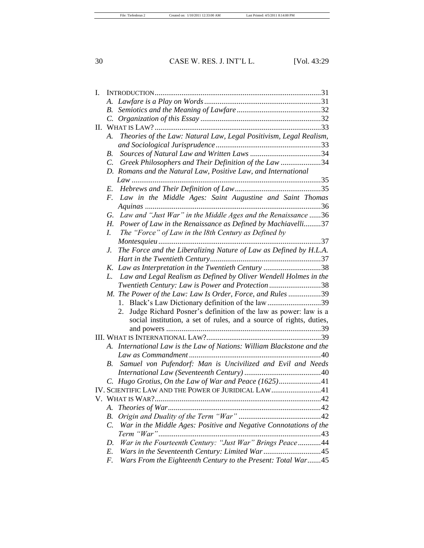| I. |                 |                                                                        |  |
|----|-----------------|------------------------------------------------------------------------|--|
|    |                 |                                                                        |  |
|    |                 |                                                                        |  |
|    |                 |                                                                        |  |
| П. |                 |                                                                        |  |
|    | А.              | Theories of the Law: Natural Law, Legal Positivism, Legal Realism,     |  |
|    |                 |                                                                        |  |
|    | <i>B</i> .      |                                                                        |  |
|    | $\mathcal{C}$ . | Greek Philosophers and Their Definition of the Law 34                  |  |
|    |                 | D. Romans and the Natural Law, Positive Law, and International         |  |
|    |                 |                                                                        |  |
|    | E.              |                                                                        |  |
|    | F.              | Law in the Middle Ages: Saint Augustine and Saint Thomas               |  |
|    |                 |                                                                        |  |
|    | G.              | Law and "Just War" in the Middle Ages and the Renaissance 36           |  |
|    | Н.              | Power of Law in the Renaissance as Defined by Machiavelli37            |  |
|    | L.              | The "Force" of Law in the 18th Century as Defined by                   |  |
|    |                 | . 37                                                                   |  |
|    | J.              | The Force and the Liberalizing Nature of Law as Defined by H.L.A.      |  |
|    |                 |                                                                        |  |
|    | K.              | Law as Interpretation in the Twentieth Century 38                      |  |
|    | L.              | Law and Legal Realism as Defined by Oliver Wendell Holmes in the       |  |
|    |                 | Twentieth Century: Law is Power and Protection38                       |  |
|    |                 | M. The Power of the Law: Law Is Order, Force, and Rules 39             |  |
|    |                 | Black's Law Dictionary definition of the law 39<br>1.                  |  |
|    |                 | Judge Richard Posner's definition of the law as power: law is a<br>2.  |  |
|    |                 | social institution, a set of rules, and a source of rights, duties,    |  |
|    |                 |                                                                        |  |
|    |                 |                                                                        |  |
|    |                 | A. International Law is the Law of Nations: William Blackstone and the |  |
|    |                 |                                                                        |  |
|    | В.              | Samuel von Pufendorf: Man is Uncivilized and Evil and Needs            |  |
|    |                 |                                                                        |  |
|    |                 |                                                                        |  |
|    |                 | IV. SCIENTIFIC LAW AND THE POWER OF JURIDICAL LAW41                    |  |
|    |                 | V. WHAT IS WAR?                                                        |  |
|    | А.              |                                                                        |  |
|    | <i>B</i> .      |                                                                        |  |
|    | $\mathcal{C}$ . | War in the Middle Ages: Positive and Negative Connotations of the      |  |
|    |                 |                                                                        |  |
|    | D.              | War in the Fourteenth Century: "Just War" Brings Peace44               |  |
|    | E.              |                                                                        |  |
|    | F.              | Wars From the Eighteenth Century to the Present: Total War45           |  |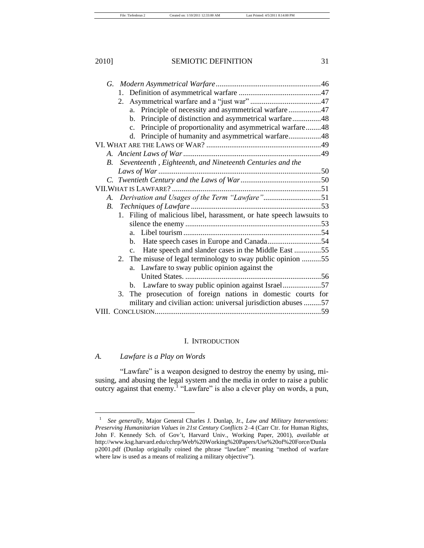| a. Principle of necessity and asymmetrical warfare47                  |  |
|-----------------------------------------------------------------------|--|
| b. Principle of distinction and asymmetrical warfare48                |  |
| c. Principle of proportionality and asymmetrical warfare48            |  |
| d. Principle of humanity and asymmetrical warfare48                   |  |
|                                                                       |  |
|                                                                       |  |
| Seventeenth, Eighteenth, and Nineteenth Centuries and the<br>B.       |  |
|                                                                       |  |
|                                                                       |  |
|                                                                       |  |
| Derivation and Usages of the Term "Lawfare"51<br>A.                   |  |
| $B_{\cdot}$                                                           |  |
| 1. Filing of malicious libel, harassment, or hate speech lawsuits to  |  |
|                                                                       |  |
|                                                                       |  |
|                                                                       |  |
| Hate speech and slander cases in the Middle East 55<br>$\mathbf{c}$ . |  |
| The misuse of legal terminology to sway public opinion 55<br>2.       |  |
| a. Lawfare to sway public opinion against the                         |  |
|                                                                       |  |
| Lawfare to sway public opinion against Israel57<br>$\mathbf{b}$ .     |  |
|                                                                       |  |
| 3. The prosecution of foreign nations in domestic courts for          |  |
| military and civilian action: universal jurisdiction abuses 57        |  |
|                                                                       |  |

#### I. INTRODUCTION

# *A. Lawfare is a Play on Words*

"Lawfare" is a weapon designed to destroy the enemy by using, misusing, and abusing the legal system and the media in order to raise a public outcry against that enemy.<sup>1</sup> "Lawfare" is also a clever play on words, a pun,

<sup>1</sup> *See generally*, Major General Charles J. Dunlap, Jr., *Law and Military Interventions: Preserving Humanitarian Values in 21st Century Conflicts* 2–4 (Carr Ctr. for Human Rights, John F. Kennedy Sch. of Gov't, Harvard Univ., Working Paper, 2001), *available at* http://www.ksg.harvard.edu/cchrp/Web%20Working%20Papers/Use%20of%20Force/Dunla p2001.pdf (Dunlap originally coined the phrase "lawfare" meaning "method of warfare where law is used as a means of realizing a military objective").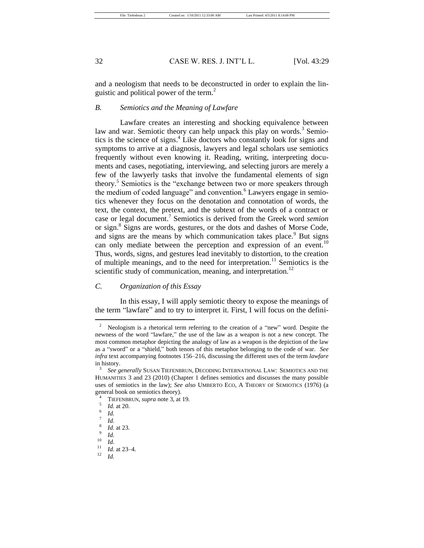and a neologism that needs to be deconstructed in order to explain the linguistic and political power of the term.<sup>2</sup>

# *B. Semiotics and the Meaning of Lawfare*

Lawfare creates an interesting and shocking equivalence between law and war. Semiotic theory can help unpack this play on words.<sup>3</sup> Semiotics is the science of signs.<sup>4</sup> Like doctors who constantly look for signs and symptoms to arrive at a diagnosis, lawyers and legal scholars use semiotics frequently without even knowing it. Reading, writing, interpreting documents and cases, negotiating, interviewing, and selecting jurors are merely a few of the lawyerly tasks that involve the fundamental elements of sign theory.<sup>5</sup> Semiotics is the "exchange between two or more speakers through the medium of coded language" and convention.<sup>6</sup> Lawyers engage in semiotics whenever they focus on the denotation and connotation of words, the text, the context, the pretext, and the subtext of the words of a contract or case or legal document.<sup>7</sup> Semiotics is derived from the Greek word *semion* or sign.<sup>8</sup> Signs are words, gestures, or the dots and dashes of Morse Code, and signs are the means by which communication takes place.<sup>9</sup> But signs can only mediate between the perception and expression of an event.<sup>10</sup> Thus, words, signs, and gestures lead inevitably to distortion, to the creation of multiple meanings, and to the need for interpretation.<sup>11</sup> Semiotics is the scientific study of communication, meaning, and interpretation.<sup>12</sup>

# *C. Organization of this Essay*

In this essay, I will apply semiotic theory to expose the meanings of the term "lawfare" and to try to interpret it. First, I will focus on the defini-

<sup>&</sup>lt;sup>2</sup> Neologism is a rhetorical term referring to the creation of a "new" word. Despite the newness of the word "lawfare," the use of the law as a weapon is not a new concept. The most common metaphor depicting the analogy of law as a weapon is the depiction of the law as a "sword" or a "shield," both tenors of this metaphor belonging to the code of war. *See infra* text accompanying footnotes 156–216, discussing the different uses of the term *lawfare* in history.

<sup>3</sup> *See generally* SUSAN TIEFENBRUN, DECODING INTERNATIONAL LAW: SEMIOTICS AND THE HUMANITIES 3 and 23 (2010) (Chapter 1 defines semiotics and discusses the many possible uses of semiotics in the law); *See also* UMBERTO ECO, A THEORY OF SEMIOTICS (1976) (a general book on semiotics theory).

<sup>4</sup> TIEFENBRUN, *supra* note 3, at 19.

<sup>5</sup> *Id.* at 20. 6

*Id.* 7

*Id.*

<sup>8</sup> *Id.* at 23.

<sup>9</sup> *Id.*

 $\frac{10}{11}$  *Id.* 

 $\frac{11}{12}$  *Id.* at 23–4.

<sup>12</sup> *Id.*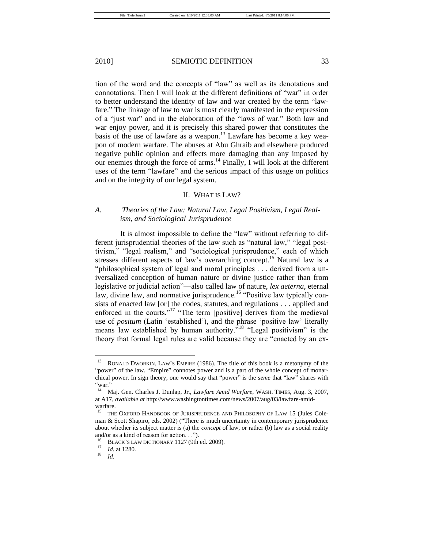tion of the word and the concepts of "law" as well as its denotations and connotations. Then I will look at the different definitions of "war" in order to better understand the identity of law and war created by the term "lawfare." The linkage of law to war is most clearly manifested in the expression of a "just war" and in the elaboration of the "laws of war." Both law and war enjoy power, and it is precisely this shared power that constitutes the basis of the use of lawfare as a weapon.<sup>13</sup> Lawfare has become a key weapon of modern warfare. The abuses at Abu Ghraib and elsewhere produced negative public opinion and effects more damaging than any imposed by our enemies through the force of arms.<sup>14</sup> Finally, I will look at the different uses of the term "lawfare" and the serious impact of this usage on politics and on the integrity of our legal system.

#### II. WHAT IS LAW?

# *A. Theories of the Law: Natural Law, Legal Positivism, Legal Realism, and Sociological Jurisprudence*

It is almost impossible to define the "law" without referring to different jurisprudential theories of the law such as "natural law," "legal positivism," "legal realism," and "sociological jurisprudence," each of which stresses different aspects of law's overarching concept.<sup>15</sup> Natural law is a "philosophical system of legal and moral principles . . . derived from a universalized conception of human nature or divine justice rather than from legislative or judicial action<sup>"</sup>—also called law of nature, *lex aeterna*, eternal law, divine law, and normative jurisprudence.<sup>16</sup> "Positive law typically consists of enacted law [or] the codes, statutes, and regulations . . . applied and enforced in the courts."<sup>17</sup> "The term [positive] derives from the medieval use of *positum* (Latin 'established'), and the phrase 'positive law' literally means law established by human authority.<sup> $718$ </sup> "Legal positivism" is the theory that formal legal rules are valid because they are "enacted by an ex-

<sup>&</sup>lt;sup>13</sup> RONALD DWORKIN, LAW'S EMPIRE (1986). The title of this book is a metonymy of the "power" of the law. "Empire" connotes power and is a part of the whole concept of monarchical power. In sign theory, one would say that "power" is the *seme* that "law" shares with "war."

<sup>14</sup> Maj. Gen. Charles J. Dunlap, Jr., *Lawfare Amid Warfare*, WASH. TIMES, Aug. 3, 2007, at A17, *available at* http://www.washingtontimes.com/news/2007/aug/03/lawfare-amidwarfare.

<sup>15</sup> THE OXFORD HANDBOOK OF JURISPRUDENCE AND PHILOSOPHY OF LAW 15 (Jules Coleman & Scott Shapiro, eds.  $2002$ ) ("There is much uncertainty in contemporary jurisprudence about whether its subject matter is (a) the *concept* of law, or rather (b) law as a social reality and/or as a kind of reason for action. . .").

<sup>&</sup>lt;sup>16</sup> BLACK'S LAW DICTIONARY 1127 (9th ed. 2009).

 $\frac{17}{18}$  *Id.* at 1280.

<sup>18</sup> *Id.*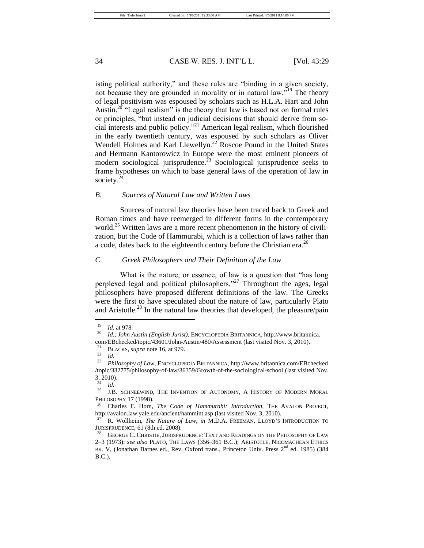isting political authority," and these rules are "binding in a given society, not because they are grounded in morality or in natural law."<sup>19</sup> The theory of legal positivism was espoused by scholars such as H.L.A. Hart and John Austin.<sup>20</sup> "Legal realism" is the theory that law is based not on formal rules or principles, "but instead on judicial decisions that should derive from social interests and public policy."<sup>21</sup> American legal realism, which flourished in the early twentieth century, was espoused by such scholars as Oliver Wendell Holmes and Karl Llewellyn.<sup>22</sup> Roscoe Pound in the United States and Hermann Kantorowicz in Europe were the most eminent pioneers of modern sociological jurisprudence.<sup>23</sup> Sociological jurisprudence seeks to frame hypotheses on which to base general laws of the operation of law in society.<sup>2</sup>

#### *B. Sources of Natural Law and Written Laws*

Sources of natural law theories have been traced back to Greek and Roman times and have reemerged in different forms in the contemporary world.<sup>25</sup> Written laws are a more recent phenomenon in the history of civilization, but the Code of Hammurabi, which is a collection of laws rather than a code, dates back to the eighteenth century before the Christian era.<sup>26</sup>

## *C. Greek Philosophers and Their Definition of the Law*

What is the nature, or essence, of law is a question that "has long perplexed legal and political philosophers.<sup>27</sup> Throughout the ages, legal philosophers have proposed different definitions of the law. The Greeks were the first to have speculated about the nature of law, particularly Plato and Aristotle.<sup>28</sup> In the natural law theories that developed, the pleasure/pain

 $\frac{19}{20}$  *Id.* at 978.

<sup>20</sup> *Id.*; *John Austin (English Jurist)*, ENCYCLOPEDIA BRITANNICA, http://www.britannica. com/EBchecked/topic/43601/John-Austin/480/Assessment (last visited Nov. 3, 2010).

BLACKS, *supra* note 16, at 979.

<sup>22</sup> *Id.*

<sup>23</sup> *Philosophy of Law*, ENCYCLOPEDIA BRITANNICA, http://www.britannica.com/EBchecked /topic/332775/philosophy-of-law/36359/Growth-of-the-sociological-school (last visited Nov. 3, 2010).

<sup>24</sup> *Id.*

<sup>&</sup>lt;sup>25</sup> J.B. SCHNEEWIND, THE INVENTION OF AUTONOMY, A HISTORY OF MODERN MORAL PHILOSOPHY 17 (1998).

<sup>26</sup> Charles F. Horn, *The Code of Hammurabi: Introduction*, THE AVALON PROJECT, http://avalon.law.yale.edu/ancient/hammint.asp (last visited Nov. 3, 2010).

<sup>27</sup> R. Wollheim, *The Nature of Law*, *in* M.D.A. FREEMAN, LLOYD'S INTRODUCTION TO JURISPRUDENCE, 61 (8th ed. 2008).

<sup>&</sup>lt;sup>28</sup> GEORGE C. CHRISTIE, JURISPRUDENCE: TEXT AND READINGS ON THE PHILOSOPHY OF LAW 2–3 (1973); *see also* PLATO, THE LAWS (356–361 B.C.); ARISTOTLE, NICOMACHEAN ETHICS BK. V, (Jonathan Barnes ed., Rev. Oxford trans., Princeton Univ. Press 2<sup>nd</sup> ed. 1985) (384 B.C.).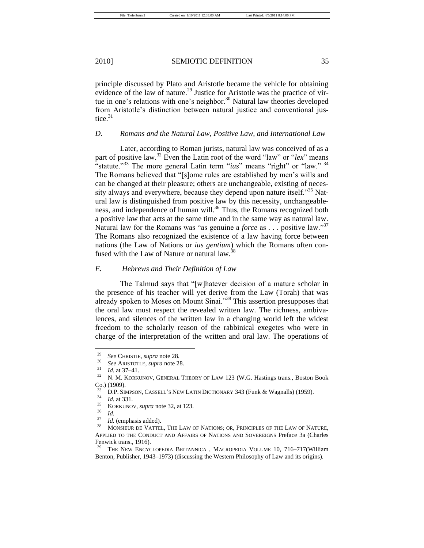principle discussed by Plato and Aristotle became the vehicle for obtaining evidence of the law of nature.<sup>29</sup> Justice for Aristotle was the practice of virtue in one's relations with one's neighbor.<sup>30</sup> Natural law theories developed from Aristotle's distinction between natural justice and conventional justice.<sup>31</sup>

# *D. Romans and the Natural Law, Positive Law, and International Law*

Later, according to Roman jurists, natural law was conceived of as a part of positive law.<sup>32</sup> Even the Latin root of the word "law" or "lex" means  $\cdot$ <sup>2</sup> statute.<sup>33</sup> The more general Latin term "*ius*" means "right" or "law."<sup>34</sup> The Romans believed that "[s]ome rules are established by men's wills and can be changed at their pleasure; others are unchangeable, existing of necessity always and everywhere, because they depend upon nature itself.<sup>355</sup> Natural law is distinguished from positive law by this necessity, unchangeableness, and independence of human will.<sup>36</sup> Thus, the Romans recognized both a positive law that acts at the same time and in the same way as natural law. Natural law for the Romans was "as genuine a *force* as . . . positive law."<sup>37</sup> The Romans also recognized the existence of a law having force between nations (the Law of Nations or *ius gentium*) which the Romans often confused with the Law of Nature or natural law.<sup>38</sup>

# *E. Hebrews and Their Definition of Law*

The Talmud says that "[w]hatever decision of a mature scholar in the presence of his teacher will yet derive from the Law (Torah) that was already spoken to Moses on Mount Sinai. $\frac{339}{9}$  This assertion presupposes that the oral law must respect the revealed written law. The richness, ambivalences, and silences of the written law in a changing world left the widest freedom to the scholarly reason of the rabbinical exegetes who were in charge of the interpretation of the written and oral law. The operations of

<sup>&</sup>lt;sup>29</sup> *See* CHRISTIE, *supra* note 28.

 $^{30}$  *See* ARISTOTLE, *supra* note 28.

 $\frac{31}{32}$  *Id.* at 37–41.

<sup>32</sup> N. M. KORKUNOV, GENERAL THEORY OF LAW 123 (W.G. Hastings trans., Boston Book Co.) (1909).

<sup>&</sup>lt;sup>33</sup> D.P. SIMPSON, CASSELL'S NEW LATIN DICTIONARY 343 (Funk & Wagnalls) (1959).

 $\frac{34}{35}$  *Id.* at 331.

<sup>35</sup> KORKUNOV, *supra* note 32, at 123.

 $rac{36}{37}$  *Id.* 

 $^{37}$  *Id.* (emphasis added).

<sup>38</sup> MONSIEUR DE VATTEL, THE LAW OF NATIONS; OR, PRINCIPLES OF THE LAW OF NATURE, APPLIED TO THE CONDUCT AND AFFAIRS OF NATIONS AND SOVEREIGNS Preface 3a (Charles Fenwick trans., 1916).

THE NEW ENCYCLOPEDIA BRITANNICA, MACROPEDIA VOLUME 10, 716–717(William Benton, Publisher, 1943–1973) (discussing the Western Philosophy of Law and its origins).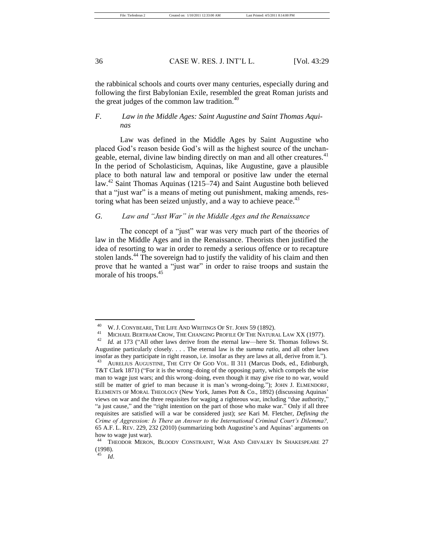the rabbinical schools and courts over many centuries, especially during and following the first Babylonian Exile, resembled the great Roman jurists and the great judges of the common law tradition. $40$ 

# *F. Law in the Middle Ages: Saint Augustine and Saint Thomas Aquinas*

Law was defined in the Middle Ages by Saint Augustine who placed God's reason beside God's will as the highest source of the unchangeable, eternal, divine law binding directly on man and all other creatures.<sup>41</sup> In the period of Scholasticism, Aquinas, like Augustine, gave a plausible place to both natural law and temporal or positive law under the eternal law.<sup>42</sup> Saint Thomas Aquinas (1215–74) and Saint Augustine both believed that a "just war" is a means of meting out punishment, making amends, restoring what has been seized unjustly, and a way to achieve peace.<sup>43</sup>

# *G. Law and ―Just War‖ in the Middle Ages and the Renaissance*

The concept of a "just" war was very much part of the theories of law in the Middle Ages and in the Renaissance. Theorists then justified the idea of resorting to war in order to remedy a serious offence or to recapture stolen lands.<sup>44</sup> The sovereign had to justify the validity of his claim and then prove that he wanted a "just war" in order to raise troops and sustain the morale of his troops.<sup>45</sup>

<sup>40</sup> W. J. CONYBEARE, THE LIFE AND WRITINGS OF ST. JOHN 59 (1892).

<sup>&</sup>lt;sup>41</sup> MICHAEL BERTRAM CROW, THE CHANGING PROFILE OF THE NATURAL LAW XX (1977).

*Id.* at 173 ("All other laws derive from the eternal law—here St. Thomas follows St. Augustine particularly closely. . . . The eternal law is the *summa ratio*, and all other laws insofar as they participate in right reason, i.e. insofar as they are laws at all, derive from it.").

<sup>43</sup> AURELIUS AUGUSTINE, THE CITY OF GOD VOL. II 311 (Marcus Dods, ed., Edinburgh, T&T Clark 1871) ("For it is the wrong–doing of the opposing party, which compels the wise man to wage just wars; and this wrong–doing, even though it may give rise to no war, would still be matter of grief to man because it is man's wrong-doing."); JOHN J. ELMENDORF, ELEMENTS OF MORAL THEOLOGY (New York, James Pott & Co., 1892) (discussing Aquinas' views on war and the three requisites for waging a righteous war, including "due authority," "a just cause," and the "right intention on the part of those who make war." Only if all three requisites are satisfied will a war be considered just); *see* Kari M. Fletcher, *Defining the Crime of Aggression: Is There an Answer to the International Criminal Court's Dilemma?,*  65 A.F. L. REV. 229, 232 (2010) (summarizing both Augustine's and Aquinas' arguments on how to wage just war).

<sup>&</sup>lt;sup>44</sup> THEODOR MERON, BLOODY CONSTRAINT, WAR AND CHIVALRY IN SHAKESPEARE 27 (1998).

<sup>45</sup> *Id*.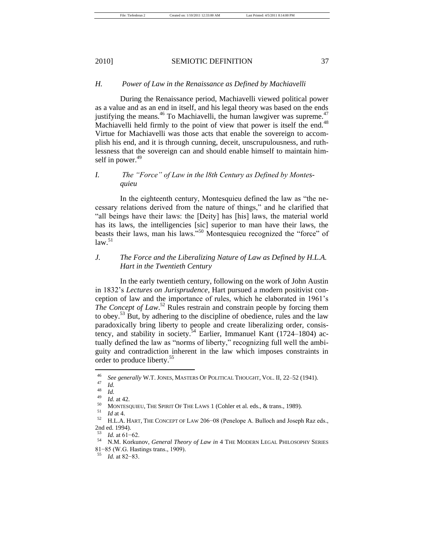## *H. Power of Law in the Renaissance as Defined by Machiavelli*

During the Renaissance period, Machiavelli viewed political power as a value and as an end in itself, and his legal theory was based on the ends justifying the means. $46$  To Machiavelli, the human lawgiver was supreme. $47$ Machiavelli held firmly to the point of view that power is itself the end.<sup>48</sup> Virtue for Machiavelli was those acts that enable the sovereign to accomplish his end, and it is through cunning, deceit, unscrupulousness, and ruthlessness that the sovereign can and should enable himself to maintain himself in power. $49$ 

# *I.* The "Force" of Law in the l8th Century as Defined by Montes*quieu*

In the eighteenth century, Montesquieu defined the law as "the necessary relations derived from the nature of things," and he clarified that "all beings have their laws: the [Deity] has [his] laws, the material world has its laws, the intelligencies [sic] superior to man have their laws, the beasts their laws, man his laws."<sup>50</sup> Montesquieu recognized the "force" of  $law.<sup>51</sup>$ 

# *J. The Force and the Liberalizing Nature of Law as Defined by H.L.A. Hart in the Twentieth Century*

In the early twentieth century, following on the work of John Austin in 1832's *Lectures on Jurisprudence*, Hart pursued a modern positivist conception of law and the importance of rules, which he elaborated in 1961's *The Concept of Law*. <sup>52</sup> Rules restrain and constrain people by forcing them to obey.<sup>53</sup> But, by adhering to the discipline of obedience, rules and the law paradoxically bring liberty to people and create liberalizing order, consistency, and stability in society.<sup>54</sup> Earlier, Immanuel Kant  $(1724-1804)$  actually defined the law as "norms of liberty," recognizing full well the ambiguity and contradiction inherent in the law which imposes constraints in order to produce liberty.<sup>55</sup>

<sup>&</sup>lt;sup>46</sup> See generally W.T. JONES, MASTERS OF POLITICAL THOUGHT, VOL. II, 22–52 (1941).

 $\frac{47}{48}$  *Id.* 

 $\frac{48}{49}$  *Id.* 

 $\frac{49}{50}$  *Id.* at 42.

<sup>&</sup>lt;sup>50</sup> MONTESQUIEU, THE SPIRIT OF THE LAWS 1 (Cohler et al. eds., & trans., 1989).

 $\frac{51}{52}$  *Id* at 4.

<sup>52</sup> H.L.A. HART, THE CONCEPT OF LAW 206−08 (Penelope A. Bulloch and Joseph Raz eds., 2nd ed. 1994).

 $\frac{53}{54}$  *Id.* at 61–62.

<sup>54</sup> N.M. Korkunov, *General Theory of Law in* 4 THE MODERN LEGAL PHILOSOPHY SERIES 81−85 (W.G. Hastings trans., 1909).

*Id.* at 82−83.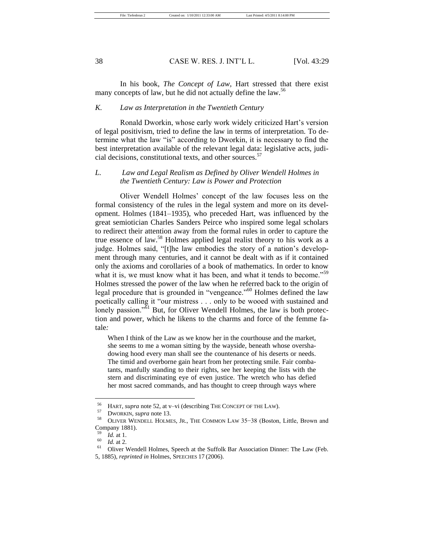In his book, *The Concept of Law,* Hart stressed that there exist many concepts of law, but he did not actually define the law.<sup>56</sup>

# *K. Law as Interpretation in the Twentieth Century*

Ronald Dworkin, whose early work widely criticized Hart's version of legal positivism, tried to define the law in terms of interpretation. To determine what the law "is" according to Dworkin, it is necessary to find the best interpretation available of the relevant legal data: legislative acts, judicial decisions, constitutional texts, and other sources.<sup>57</sup>

# *L. Law and Legal Realism as Defined by Oliver Wendell Holmes in the Twentieth Century: Law is Power and Protection*

Oliver Wendell Holmes' concept of the law focuses less on the formal consistency of the rules in the legal system and more on its development. Holmes (1841–1935), who preceded Hart, was influenced by the great semiotician Charles Sanders Peirce who inspired some legal scholars to redirect their attention away from the formal rules in order to capture the true essence of law.<sup>58</sup> Holmes applied legal realist theory to his work as a judge. Holmes said, "[t]he law embodies the story of a nation's development through many centuries, and it cannot be dealt with as if it contained only the axioms and corollaries of a book of mathematics. In order to know what it is, we must know what it has been, and what it tends to become."<sup>59</sup> Holmes stressed the power of the law when he referred back to the origin of legal procedure that is grounded in "vengeance."<sup>60</sup> Holmes defined the law poetically calling it "our mistress . . . only to be wooed with sustained and lonely passion." $\overline{6}1$  But, for Oliver Wendell Holmes, the law is both protection and power, which he likens to the charms and force of the femme fatale*:*

When I think of the Law as we know her in the courthouse and the market, she seems to me a woman sitting by the wayside, beneath whose overshadowing hood every man shall see the countenance of his deserts or needs. The timid and overborne gain heart from her protecting smile. Fair combatants, manfully standing to their rights, see her keeping the lists with the stern and discriminating eye of even justice. The wretch who has defied her most sacred commands, and has thought to creep through ways where

<sup>&</sup>lt;sup>56</sup> HART, *supra* note 52, at v–vi (describing THE CONCEPT OF THE LAW).

 $^{57}$  DWORKIN, *supra* note 13.

<sup>58</sup> OLIVER WENDELL HOLMES, JR., THE COMMON LAW 35−38 (Boston, Little, Brown and Company 1881).

 $\frac{59}{60}$  *Id.* at 1.

 $\frac{60}{61}$  *Id.* at 2.

<sup>61</sup> Oliver Wendell Holmes, Speech at the Suffolk Bar Association Dinner: The Law (Feb. 5, 1885), *reprinted in* Holmes, SPEECHES 17 (2006).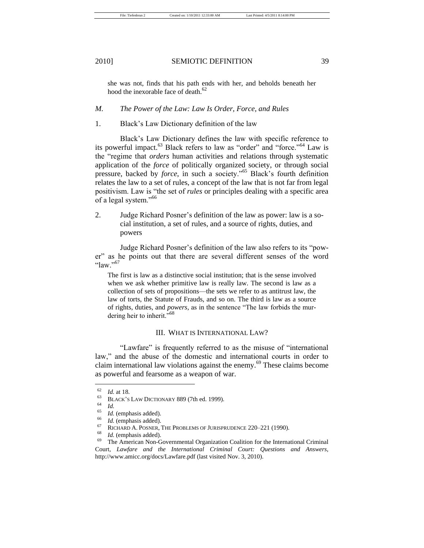she was not, finds that his path ends with her, and beholds beneath her hood the inexorable face of death.<sup>62</sup>

#### *M. The Power of the Law: Law Is Order, Force, and Rules*

1. Black's Law Dictionary definition of the law

Black's Law Dictionary defines the law with specific reference to its powerful impact.<sup>63</sup> Black refers to law as "order" and "force."<sup>64</sup> Law is the "regime that *orders* human activities and relations through systematic application of the *force* of politically organized society, or through social pressure, backed by *force*, in such a society."<sup>65</sup> Black's fourth definition relates the law to a set of rules, a concept of the law that is not far from legal positivism. Law is "the set of *rules* or principles dealing with a specific area of a legal system."<sup>66</sup>

2. Judge Richard Posner's definition of the law as power: law is a social institution, a set of rules, and a source of rights, duties, and powers

Judge Richard Posner's definition of the law also refers to its "power" as he points out that there are several different senses of the word "law." $507$ 

The first is law as a distinctive social institution; that is the sense involved when we ask whether primitive law is really law. The second is law as a collection of sets of propositions—the sets we refer to as antitrust law, the law of torts, the Statute of Frauds, and so on. The third is law as a source of rights, duties, and *powers*, as in the sentence "The law forbids the murdering heir to inherit."<sup>68</sup>

## III. WHAT IS INTERNATIONAL LAW?

"Lawfare" is frequently referred to as the misuse of "international" law," and the abuse of the domestic and international courts in order to claim international law violations against the enemy.<sup>69</sup> These claims become as powerful and fearsome as a weapon of war.

 $\frac{62}{63}$  *Id.* at 18.

 $^{63}$  BLACK's LAW DICTIONARY 889 (7th ed. 1999).

 $\frac{64}{65}$  *Id.* 

 $\frac{65}{66}$  *Id.* (emphasis added).

 $\frac{66}{67}$  *Id.* (emphasis added).

 $^{67}$  RICHARD A. POSNER, THE PROBLEMS OF JURISPRUDENCE 220–221 (1990).

 $\frac{68}{69}$  *Id.* (emphasis added).

The American Non-Governmental Organization Coalition for the International Criminal Court, *Lawfare and the International Criminal Court: Questions and Answers*, http://www.amicc.org/docs/Lawfare.pdf (last visited Nov. 3, 2010).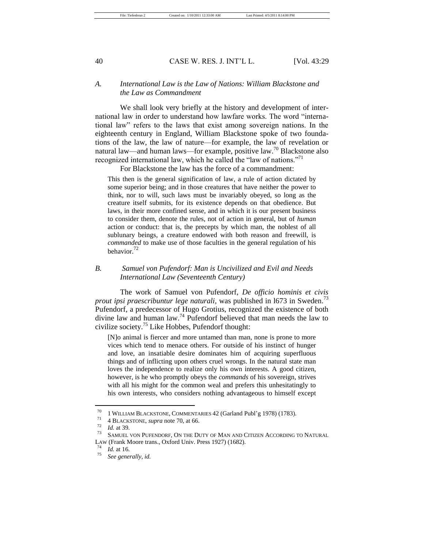# *A. International Law is the Law of Nations: William Blackstone and the Law as Commandment*

We shall look very briefly at the history and development of international law in order to understand how lawfare works. The word "international law‖ refers to the laws that exist among sovereign nations. In the eighteenth century in England, William Blackstone spoke of two foundations of the law, the law of nature—for example, the law of revelation or natural law—and human laws—for example, positive law.<sup>70</sup> Blackstone also recognized international law, which he called the "law of nations."<sup>71</sup>

For Blackstone the law has the force of a commandment:

This then is the general signification of law, a rule of action dictated by some superior being; and in those creatures that have neither the power to think, nor to will, such laws must be invariably obeyed, so long as the creature itself submits, for its existence depends on that obedience. But laws, in their more confined sense, and in which it is our present business to consider them, denote the rules, not of action in general, but of *human* action or conduct: that is, the precepts by which man, the noblest of all sublunary beings, a creature endowed with both reason and freewill, is *commanded* to make use of those faculties in the general regulation of his behavior. $^{72}$ 

# *B. Samuel von Pufendorf: Man is Uncivilized and Evil and Needs International Law (Seventeenth Century)*

The work of Samuel von Pufendorf, *De officio hominis et civis prout ipsi praescribuntur lege naturali,* was published in 1673 in Sweden.<sup>73</sup> Pufendorf, a predecessor of Hugo Grotius, recognized the existence of both divine law and human law.<sup>74</sup> Pufendorf believed that man needs the law to civilize society.<sup>75</sup> Like Hobbes, Pufendorf thought:

[N]o animal is fiercer and more untamed than man, none is prone to more vices which tend to menace others. For outside of his instinct of hunger and love, an insatiable desire dominates him of acquiring superfluous things and of inflicting upon others cruel wrongs. In the natural state man loves the independence to realize only his own interests. A good citizen, however, is he who promptly obeys the *commands* of his sovereign, strives with all his might for the common weal and prefers this unhesitatingly to his own interests, who considers nothing advantageous to himself except

<sup>&</sup>lt;sup>70</sup> 1 WILLIAM BLACKSTONE, COMMENTARIES 42 (Garland Publ'g 1978) (1783).

<sup>&</sup>lt;sup>71</sup> 4 BLACKSTONE, *supra* note 70, at 66.

 $\frac{72}{73}$  *Id.* at 39.

SAMUEL VON PUFENDORF, ON THE DUTY OF MAN AND CITIZEN ACCORDING TO NATURAL LAW (Frank Moore trans., Oxford Univ. Press 1927) (1682).

 $\frac{74}{75}$  *Id.* at 16.

<sup>75</sup> *See generally*, *id.*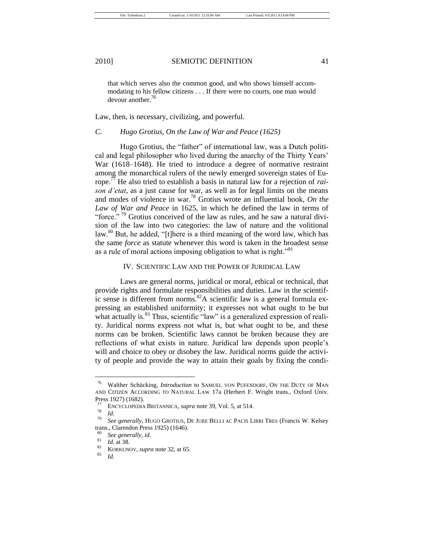that which serves also the common good, and who shows himself accommodating to his fellow citizens . . . If there were no courts, one man would devour another.<sup>76</sup>

Law, then, is necessary, civilizing, and powerful.

# *C. Hugo Grotius, On the Law of War and Peace (1625)*

Hugo Grotius, the "father" of international law, was a Dutch political and legal philosopher who lived during the anarchy of the Thirty Years' War (1618–1648). He tried to introduce a degree of normative restraint among the monarchical rulers of the newly emerged sovereign states of Europe.<sup>77</sup> He also tried to establish a basis in natural law for a rejection of *raison d'etat*, as a just cause for war, as well as for legal limits on the means and modes of violence in war.<sup>78</sup> Grotius wrote an influential book, *On the Law of War and Peace* in 1625, in which he defined the law in terms of "force."<sup>79</sup> Grotius conceived of the law as rules, and he saw a natural division of the law into two categories: the law of nature and the volitional law. $80$  But, he added, "[t]here is a third meaning of the word law, which has the same *force* as statute whenever this word is taken in the broadest sense as a rule of moral actions imposing obligation to what is right.<sup>81</sup>

#### IV. SCIENTIFIC LAW AND THE POWER OF JURIDICAL LAW

Laws are general norms, juridical or moral, ethical or technical, that provide rights and formulate responsibilities and duties. Law in the scientific sense is different from norms.<sup>82</sup>A scientific law is a general formula expressing an established uniformity; it expresses not what ought to be but what actually is. $83$  Thus, scientific "law" is a generalized expression of reality. Juridical norms express not what is, but what ought to be, and these norms can be broken. Scientific laws cannot be broken because they are reflections of what exists in nature. Juridical law depends upon people's will and choice to obey or disobey the law. Juridical norms guide the activity of people and provide the way to attain their goals by fixing the condi-

<sup>76</sup> Walther Schücking, *Introduction* to SAMUEL VON PUFENDORF, ON THE DUTY OF MAN AND CITIZEN ACCORDING TO NATURAL LAW 17a (Herbert F. Wright trans., Oxford Univ. Press 1927) (1682).

<sup>77</sup> ENCYCLOPEDIA BRITANNICA, *supra* note 39, Vol. 5, at 514.

 $\frac{78}{79}$  *Id.* 

<sup>79</sup> *See generally*, HUGO GROTIUS, DE JURE BELLI AC PACIS LIBRI TRES (Francis W. Kelsey trans., Clarendon Press 1925) (1646).

<sup>80</sup> *See generally*, *id.*

 $\frac{81}{82}$  *Id.* at 38.

 $rac{82}{83}$  KORKUNOV, *supra* note 32, at 65.

<sup>83</sup> *Id.*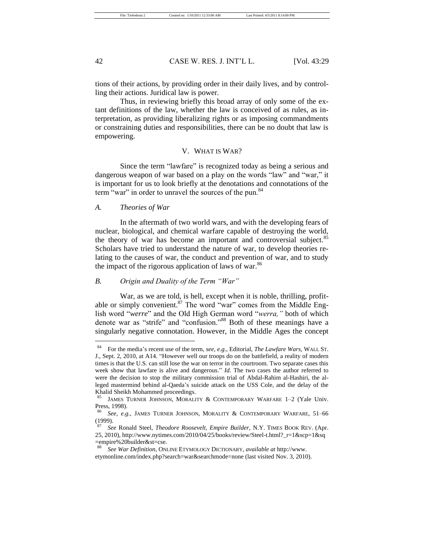tions of their actions, by providing order in their daily lives, and by controlling their actions. Juridical law is power.

Thus, in reviewing briefly this broad array of only some of the extant definitions of the law, whether the law is conceived of as rules, as interpretation, as providing liberalizing rights or as imposing commandments or constraining duties and responsibilities, there can be no doubt that law is empowering.

#### V. WHAT IS WAR?

Since the term "lawfare" is recognized today as being a serious and dangerous weapon of war based on a play on the words "law" and "war," it is important for us to look briefly at the denotations and connotations of the term "war" in order to unravel the sources of the pun.<sup>84</sup>

#### *A. Theories of War*

In the aftermath of two world wars, and with the developing fears of nuclear, biological, and chemical warfare capable of destroying the world, the theory of war has become an important and controversial subject.<sup>85</sup> Scholars have tried to understand the nature of war, to develop theories relating to the causes of war, the conduct and prevention of war, and to study the impact of the rigorous application of laws of war.<sup>86</sup>

# *B. Origin and Duality of the Term "War"*

War, as we are told, is hell, except when it is noble, thrilling, profitable or simply convenient.<sup>87</sup> The word "war" comes from the Middle English word "*werre*" and the Old High German word "*werra*," both of which denote war as "strife" and "confusion."<sup>88</sup> Both of these meanings have a singularly negative connotation. However, in the Middle Ages the concept

<sup>84</sup> For the media's recent use of the term, *see, e.g.*, Editorial, *The Lawfare Wars*, WALL ST. J., Sept. 2, 2010, at A14. "However well our troops do on the battlefield, a reality of modern times is that the U.S. can still lose the war on terror in the courtroom. Two separate cases this week show that lawfare is alive and dangerous." *Id.* The two cases the author referred to were the decision to stop the military commission trial of Abdal-Rahim al-Hashiri, the alleged mastermind behind al-Qaeda's suicide attack on the USS Cole, and the delay of the Khalid Sheikh Mohammed proceedings.

JAMES TURNER JOHNSON, MORALITY & CONTEMPORARY WARFARE 1-2 (Yale Univ. Press, 1998).

<sup>86</sup> *See, e.g.*, JAMES TURNER JOHNSON, MORALITY & CONTEMPORARY WARFARE, 51–66  $\frac{(1999)}{87}$ .

<sup>87</sup> *See* Ronald Steel, *Theodore Roosevelt, Empire Builder*, N.Y. TIMES BOOK REV. (Apr. 25, 2010), http://www.nytimes.com/2010/04/25/books/review/Steel-t.html?\_r=1&scp=1&sq =empire%20builder&st=cse.

<sup>88</sup> *See War Definition*, ONLINE ETYMOLOGY DICTIONARY, *available at* http://www. etymonline.com/index.php?search=war&searchmode=none (last visited Nov. 3, 2010).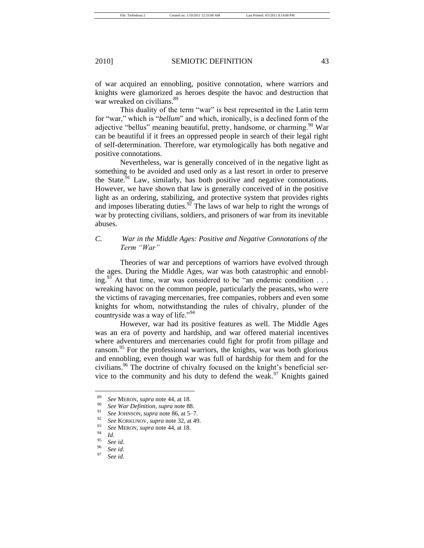of war acquired an ennobling, positive connotation, where warriors and knights were glamorized as heroes despite the havoc and destruction that war wreaked on civilians.<sup>89</sup>

This duality of the term "war" is best represented in the Latin term for "war," which is "*bellum*" and which, ironically, is a declined form of the adjective "bellus" meaning beautiful, pretty, handsome, or charming.<sup>90</sup> War can be beautiful if it frees an oppressed people in search of their legal right of self-determination. Therefore, war etymologically has both negative and positive connotations.

Nevertheless, war is generally conceived of in the negative light as something to be avoided and used only as a last resort in order to preserve the State. $91$  Law, similarly, has both positive and negative connotations. However, we have shown that law is generally conceived of in the positive light as an ordering, stabilizing, and protective system that provides rights and imposes liberating duties.<sup>92</sup> The laws of war help to right the wrongs of war by protecting civilians, soldiers, and prisoners of war from its inevitable abuses.

# *C. War in the Middle Ages: Positive and Negative Connotations of the Term ―War‖*

Theories of war and perceptions of warriors have evolved through the ages. During the Middle Ages, war was both catastrophic and ennobling.<sup>93</sup> At that time, war was considered to be "an endemic condition . . . wreaking havoc on the common people, particularly the peasants, who were the victims of ravaging mercenaries, free companies, robbers and even some knights for whom, notwithstanding the rules of chivalry, plunder of the countryside was a way of life."<sup>94</sup>

However, war had its positive features as well. The Middle Ages was an era of poverty and hardship, and war offered material incentives where adventurers and mercenaries could fight for profit from pillage and ransom.<sup>95</sup> For the professional warriors, the knights, war was both glorious and ennobling, even though war was full of hardship for them and for the civilians.<sup>96</sup> The doctrine of chivalry focused on the knight's beneficial service to the community and his duty to defend the weak.<sup>97</sup> Knights gained

<sup>89</sup> *See* MERON, *supra* note 44, at 18.

<sup>90</sup> *See War Definition*, *supra* note 88.

<sup>91</sup> *See* JOHNSON, *supra* note 86, at 5–7.

<sup>92</sup> *See* KORKUNOV, *supra* note 32, at 49.

<sup>93</sup> *See* MERON, *supra* note 44, at 18.

 $\frac{94}{95}$  *Id.* 

<sup>95</sup> *See id*.

<sup>96</sup> *See id*. See *id.*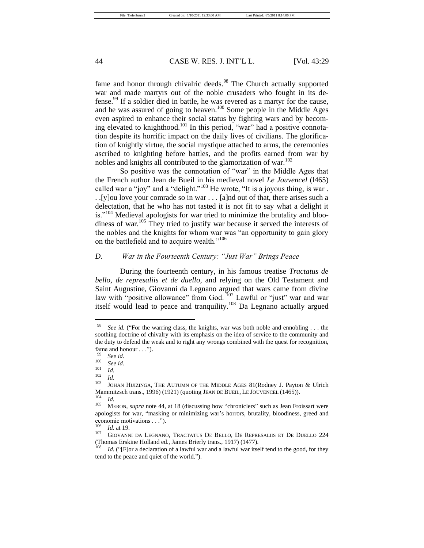fame and honor through chivalric deeds.<sup>98</sup> The Church actually supported war and made martyrs out of the noble crusaders who fought in its defense.<sup>99</sup> If a soldier died in battle, he was revered as a martyr for the cause, and he was assured of going to heaven.<sup>100</sup> Some people in the Middle Ages even aspired to enhance their social status by fighting wars and by becoming elevated to knighthood.<sup>101</sup> In this period, "war" had a positive connotation despite its horrific impact on the daily lives of civilians. The glorification of knightly virtue, the social mystique attached to arms, the ceremonies ascribed to knighting before battles, and the profits earned from war by nobles and knights all contributed to the glamorization of war.<sup>102</sup>

So positive was the connotation of "war" in the Middle Ages that the French author Jean de Bueil in his medieval novel *Le Jouvencel* (l465) called war a "joy" and a "delight."<sup>103</sup> He wrote, "It is a joyous thing, is war. . .[y]ou love your comrade so in war . . . [a]nd out of that, there arises such a delectation, that he who has not tasted it is not fit to say what a delight it is." $104$  Medieval apologists for war tried to minimize the brutality and bloodiness of war.<sup>105</sup> They tried to justify war because it served the interests of the nobles and the knights for whom war was "an opportunity to gain glory" on the battlefield and to acquire wealth."<sup>106</sup>

# *D. War in the Fourteenth Century: ―Just War‖ Brings Peace*

During the fourteenth century, in his famous treatise *Tractatus de bello, de represaliis et de duello*, and relying on the Old Testament and Saint Augustine, Giovanni da Legnano argued that wars came from divine law with "positive allowance" from God.  $107$  Lawful or "just" war and war itself would lead to peace and tranquility.<sup>108</sup> Da Legnano actually argued

<sup>&</sup>lt;sup>98</sup> *See id.* ("For the warring class, the knights, war was both noble and ennobling . . . the soothing doctrine of chivalry with its emphasis on the idea of service to the community and the duty to defend the weak and to right any wrongs combined with the quest for recognition, fame and honour . . .").

 $\frac{99}{100}$  *See id.* 

 $\frac{100}{101}$  *See id.* 

 $\frac{101}{102}$  *Id.* 

 $\frac{102}{103}$  *Id.* 

JOHAN HUIZINGA, THE AUTUMN OF THE MIDDLE AGES 81(Rodney J. Payton & Ulrich Mammitzsch trans., 1996) (1921) (quoting JEAN DE BUEIL, LE JOUVENCEL (1465)).<br> $^{104}$  $\frac{104}{105}$  *Id.* 

MERON, *supra* note 44, at 18 (discussing how "chroniclers" such as Jean Froissart were apologists for war, "masking or minimizing war's horrors, brutality, bloodiness, greed and economic motivations . . .").

<sup>106</sup> *Id.* at 19.

<sup>107</sup> GIOVANNI DA LEGNANO, TRACTATUS DE BELLO, DE REPRESALIIS ET DE DUELLO 224 (Thomas Erskine Holland ed., James Brierly trans., 1917) (1477).

*Id.* ("[F]or a declaration of a lawful war and a lawful war itself tend to the good, for they tend to the peace and quiet of the world.").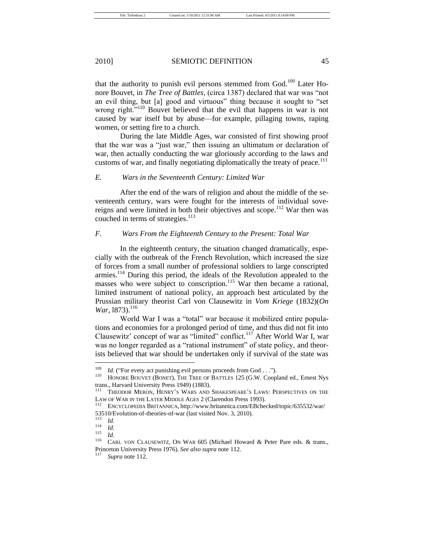that the authority to punish evil persons stemmed from God.<sup>109</sup> Later Honore Bouvet, in *The Tree of Battles*, (circa 1387) declared that war was "not an evil thing, but [a] good and virtuous" thing because it sought to "set wrong right.<sup>5110</sup> Bouvet believed that the evil that happens in war is not caused by war itself but by abuse—for example, pillaging towns, raping women, or setting fire to a church.

During the late Middle Ages, war consisted of first showing proof that the war was a "just war," then issuing an ultimatum or declaration of war, then actually conducting the war gloriously according to the laws and customs of war, and finally negotiating diplomatically the treaty of peace.<sup>111</sup>

# *E. Wars in the Seventeenth Century: Limited War*

After the end of the wars of religion and about the middle of the seventeenth century, wars were fought for the interests of individual sovereigns and were limited in both their objectives and scope.<sup>112</sup> War then was couched in terms of strategies.<sup>113</sup>

# *F. Wars From the Eighteenth Century to the Present: Total War*

In the eighteenth century, the situation changed dramatically, especially with the outbreak of the French Revolution, which increased the size of forces from a small number of professional soldiers to large conscripted armies.<sup>114</sup> During this period, the ideals of the Revolution appealed to the masses who were subject to conscription.<sup>115</sup> War then became a rational, limited instrument of national policy, an approach best articulated by the Prussian military theorist Carl von Clausewitz in *Vom Kriege* (1832)(*On War*, 1873).<sup>116</sup>

World War I was a "total" war because it mobilized entire populations and economies for a prolonged period of time, and thus did not fit into Clausewitz' concept of war as "limited" conflict.<sup>117</sup> After World War I, war was no longer regarded as a "rational instrument" of state policy, and theorists believed that war should be undertaken only if survival of the state was

<sup>&</sup>lt;sup>109</sup> *Id.* ("For every act punishing evil persons proceeds from God . . .").

HONORE BOUVET (BONET), THE TREE OF BATTLES 125 (G.W. Coopland ed., Ernest Nys trans., Harvard University Press 1949) (1883).<br><sup>111</sup> Turgpop Menoy, Haypy's W1ps, 13p

THEODOR MERON, HENRY'S WARS AND SHAKESPEARE'S LAWS: PERSPECTIVES ON THE LAW OF WAR IN THE LATER MIDDLE AGES 2 (Clarendon Press 1993).

<sup>112</sup> ENCYCLOPEDIA BRITANNICA, http://www.britannica.com/EBchecked/topic/635532/war/ 53510/Evolution-of-theories-of-war (last visited Nov. 3, 2010).

 $\frac{113}{114}$  *Id.* 

 $\frac{114}{115}$  *Id.* 

 $\frac{115}{116}$  *Id.* 

CARL VON CLAUSEWITZ, ON WAR 605 (Michael Howard & Peter Pare eds. & trans., Princeton University Press 1976). *See also supra* note 112.

Supra note 112.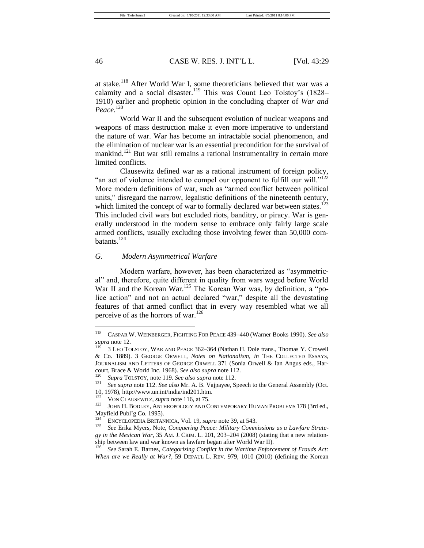at stake.<sup>118</sup> After World War I, some theoreticians believed that war was a calamity and a social disaster.<sup>119</sup> This was Count Leo Tolstoy's (1828– 1910) earlier and prophetic opinion in the concluding chapter of *War and Peace*. 120

World War II and the subsequent evolution of nuclear weapons and weapons of mass destruction make it even more imperative to understand the nature of war. War has become an intractable social phenomenon, and the elimination of nuclear war is an essential precondition for the survival of mankind.<sup>121</sup> But war still remains a rational instrumentality in certain more limited conflicts.

Clausewitz defined war as a rational instrument of foreign policy, "an act of violence intended to compel our opponent to fulfill our will." $^{122}$ More modern definitions of war, such as "armed conflict between political units," disregard the narrow, legalistic definitions of the nineteenth century, which limited the concept of war to formally declared war between states.<sup>123</sup> This included civil wars but excluded riots, banditry, or piracy. War is generally understood in the modern sense to embrace only fairly large scale armed conflicts, usually excluding those involving fewer than 50,000 combatants.<sup>124</sup>

## *G. Modern Asymmetrical Warfare*

Modern warfare, however, has been characterized as "asymmetrical" and, therefore, quite different in quality from wars waged before World War II and the Korean War.<sup>125</sup> The Korean War was, by definition, a "police action" and not an actual declared "war," despite all the devastating features of that armed conflict that in every way resembled what we all perceive of as the horrors of war.<sup>126</sup>

<sup>118</sup> CASPAR W. WEINBERGER, FIGHTING FOR PEACE 439–440 (Warner Books 1990). *See also supra* note 12.

<sup>3</sup> LEO TOLSTOY, WAR AND PEACE 362-364 (Nathan H. Dole trans., Thomas Y. Crowell & Co. 1889). 3 GEORGE ORWELL, *Notes on Nationalism*, *in* THE COLLECTED ESSAYS, JOURNALISM AND LETTERS OF GEORGE ORWELL 371 (Sonia Orwell & Ian Angus eds., Harcourt, Brace & World Inc. 1968). *See also supra* note 112.

<sup>120</sup> *Supra* TOLSTOY, note 119*. See also supra* note 112.

<sup>121</sup> *See supra* note 112. *See also* Mr. A. B. Vajpayee, Speech to the General Assembly (Oct.

<sup>10, 1978),</sup> http://www.un.int/india/ind201.htm.<br> $\frac{122}{122}$  Mov. Ct. Warnward away a sta 116 st.  $75$ 

<sup>&</sup>lt;sup>122</sup> VON CLAUSEWITZ, *supra* note 116, at 75.<br><sup>123</sup> JOUN H BODLEY, ANTUBOROLOGY AND C

JOHN H. BODLEY, ANTHROPOLOGY AND CONTEMPORARY HUMAN PROBLEMS 178 (3rd ed., Mayfield Publ'g Co. 1995).

<sup>124</sup> ENCYCLOPEDIA BRITANNICA, Vol. 19, *supra* note 39, at 543.

See Erika Myers, Note, *Conquering Peace: Military Commissions as a Lawfare Strategy in the Mexican War*, 35 AM. J. CRIM. L. 201, 203–204 (2008) (stating that a new relationship between law and war known as lawfare began after World War II).

<sup>126</sup> *See* Sarah E. Barnes, *Categorizing Conflict in the Wartime Enforcement of Frauds Act: When are we Really at War?*, 59 DEPAUL L. REV. 979, 1010 (2010) (defining the Korean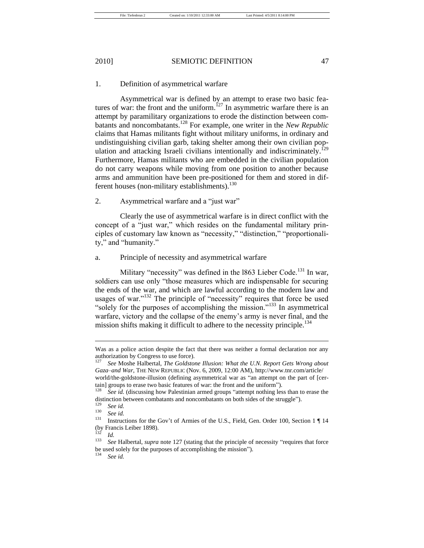# 1. Definition of asymmetrical warfare

Asymmetrical war is defined by an attempt to erase two basic features of war: the front and the uniform.<sup>127</sup> In asymmetric warfare there is an attempt by paramilitary organizations to erode the distinction between combatants and noncombatants.<sup>128</sup> For example, one writer in the *New Republic*  claims that Hamas militants fight without military uniforms, in ordinary and undistinguishing civilian garb, taking shelter among their own civilian population and attacking Israeli civilians intentionally and indiscriminately.<sup>129</sup> Furthermore, Hamas militants who are embedded in the civilian population do not carry weapons while moving from one position to another because arms and ammunition have been pre-positioned for them and stored in different houses (non-military establishments).<sup>130</sup>

# 2. Asymmetrical warfare and a "just war"

Clearly the use of asymmetrical warfare is in direct conflict with the concept of a "just war," which resides on the fundamental military principles of customary law known as "necessity," "distinction," "proportionality," and "humanity."

## a. Principle of necessity and asymmetrical warfare

Military "necessity" was defined in the 1863 Lieber Code.<sup>131</sup> In war, soldiers can use only "those measures which are indispensable for securing the ends of the war, and which are lawful according to the modern law and usages of war." $132$  The principle of "necessity" requires that force be used "solely for the purposes of accomplishing the mission."<sup>133</sup> In asymmetrical warfare, victory and the collapse of the enemy's army is never final, and the mission shifts making it difficult to adhere to the necessity principle.<sup>134</sup>

See id.

Was as a police action despite the fact that there was neither a formal declaration nor any authorization by Congress to use force).

<sup>127</sup> *See* Moshe Halbertal, *The Goldstone Illusion: What the U.N. Report Gets Wrong about Gaza–and War*, THE NEW REPUBLIC (Nov. 6, 2009, 12:00 AM), http://www.tnr.com/article/ world/the-goldstone-illusion (defining asymmetrical war as "an attempt on the part of [certain] groups to erase two basic features of war: the front and the uniform'').<br> $\frac{128}{128}$  See id. (discussing hour Pelestinian armed groups "ottemat pething lea

See id. (discussing how Palestinian armed groups "attempt nothing less than to erase the distinction between combatants and noncombatants on both sides of the struggle").<br> $\frac{129}{129}$ 

 $\frac{129}{130}$  *See id.* 

 $\frac{130}{131}$  *See id.* 

<sup>131</sup> Instructions for the Gov't of Armies of the U.S., Field, Gen. Order 100, Section 1 ¶ 14 (by Francis Leiber 1898).

 $\frac{132}{133}$  *Id.* 

See Halbertal, *supra* note 127 (stating that the principle of necessity "requires that force be used solely for the purposes of accomplishing the mission").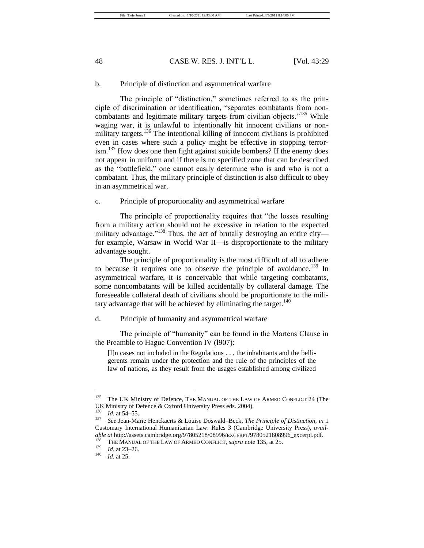## b. Principle of distinction and asymmetrical warfare

The principle of "distinction," sometimes referred to as the principle of discrimination or identification, "separates combatants from noncombatants and legitimate military targets from civilian objects."<sup>135</sup> While waging war, it is unlawful to intentionally hit innocent civilians or nonmilitary targets.<sup>136</sup> The intentional killing of innocent civilians is prohibited even in cases where such a policy might be effective in stopping terror- $\sin^{137}$  How does one then fight against suicide bombers? If the enemy does not appear in uniform and if there is no specified zone that can be described as the "battlefield," one cannot easily determine who is and who is not a combatant. Thus, the military principle of distinction is also difficult to obey in an asymmetrical war.

c. Principle of proportionality and asymmetrical warfare

The principle of proportionality requires that "the losses resulting from a military action should not be excessive in relation to the expected military advantage."<sup>138</sup> Thus, the act of brutally destroying an entire city for example, Warsaw in World War II—is disproportionate to the military advantage sought.

The principle of proportionality is the most difficult of all to adhere to because it requires one to observe the principle of avoidance.<sup>139</sup> In asymmetrical warfare, it is conceivable that while targeting combatants, some noncombatants will be killed accidentally by collateral damage. The foreseeable collateral death of civilians should be proportionate to the military advantage that will be achieved by eliminating the target.<sup>140</sup>

# d. Principle of humanity and asymmetrical warfare

The principle of "humanity" can be found in the Martens Clause in the Preamble to Hague Convention IV (l907):

[I]n cases not included in the Regulations . . . the inhabitants and the belligerents remain under the protection and the rule of the principles of the law of nations, as they result from the usages established among civilized

<sup>&</sup>lt;sup>135</sup> The UK Ministry of Defence, THE MANUAL OF THE LAW OF ARMED CONFLICT 24 (The UK Ministry of Defence & Oxford University Press eds. 2004).

 $\frac{136}{137}$  *Id.* at 54–55.

<sup>137</sup> *See* Jean-Marie Henckaerts & Louise Doswald–Beck, *The Principle of Distinction*, *in* 1 Customary International Humanitarian Law: Rules 3 (Cambridge University Press), *available at* http://assets.cambridge.org/97805218/08996/EXCERPT/9780521808996\_excerpt.pdf.<br><sup>138</sup> Typ MANUAL OF THE LIVER AN THE CONTAGE superpote 125 at 25

<sup>&</sup>lt;sup>138</sup> THE MANUAL OF THE LAW OF ARMED CONFLICT, *supra* note 135, at 25.

 $\frac{139}{140}$  *Id.* at 23–26.

*Id.* at 25.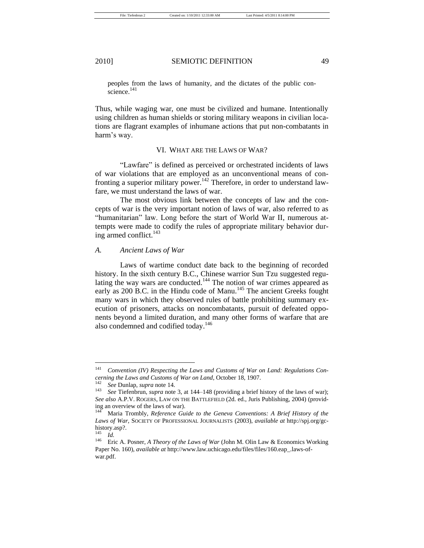peoples from the laws of humanity, and the dictates of the public conscience.<sup>141</sup>

Thus, while waging war, one must be civilized and humane. Intentionally using children as human shields or storing military weapons in civilian locations are flagrant examples of inhumane actions that put non-combatants in harm's way.

# VI. WHAT ARE THE LAWS OF WAR?

―Lawfare‖ is defined as perceived or orchestrated incidents of laws of war violations that are employed as an unconventional means of confronting a superior military power.<sup>142</sup> Therefore, in order to understand lawfare*,* we must understand the laws of war.

The most obvious link between the concepts of law and the concepts of war is the very important notion of laws of war, also referred to as "humanitarian" law. Long before the start of World War II, numerous attempts were made to codify the rules of appropriate military behavior during armed conflict.<sup>143</sup>

#### *A. Ancient Laws of War*

Laws of wartime conduct date back to the beginning of recorded history. In the sixth century B.C., Chinese warrior Sun Tzu suggested regulating the way wars are conducted.<sup>144</sup> The notion of war crimes appeared as early as 200 B.C. in the Hindu code of Manu.<sup>145</sup> The ancient Greeks fought many wars in which they observed rules of battle prohibiting summary execution of prisoners, attacks on noncombatants, pursuit of defeated opponents beyond a limited duration, and many other forms of warfare that are also condemned and codified today.<sup>146</sup>

<sup>141</sup> *Convention (IV) Respecting the Laws and Customs of War on Land: Regulations Concerning the Laws and Customs of War on Land*, October 18, 1907.

<sup>142</sup> *See* Dunlap, *supra* note 14.

See Tiefenbrun, *supra* note 3, at 144–148 (providing a brief history of the laws of war); *See also* A.P.V. ROGERS, LAW ON THE BATTLEFIELD (2d. ed., Juris Publishing, 2004) (providing an overview of the laws of war).

Maria Trombly, *Reference Guide to the Geneva Conventions: A Brief History of the Laws of War*, SOCIETY OF PROFESSIONAL JOURNALISTS (2003), *available at* http://spj.org/gchistory.asp?.

 $\frac{145}{146}$  *Id.* 

<sup>146</sup> Eric A. Posner, *A Theory of the Laws of War* (John M. Olin Law & Economics Working Paper No. 160), *available at* http://www.law.uchicago.edu/files/files/160.eap\_.laws-ofwar.pdf.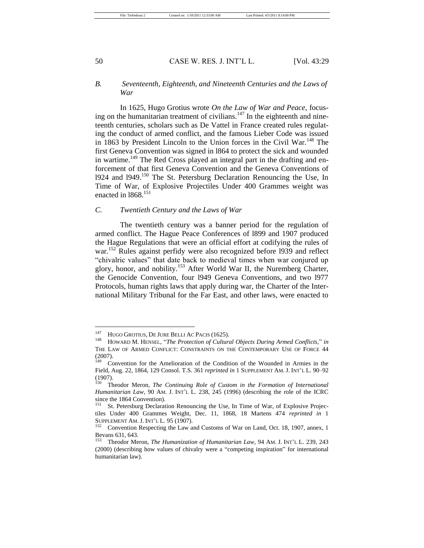# *B. Seventeenth, Eighteenth, and Nineteenth Centuries and the Laws of War*

In 1625, Hugo Grotius wrote *On the Law of War and Peace,* focusing on the humanitarian treatment of civilians.<sup>147</sup> In the eighteenth and nineteenth centuries, scholars such as De Vattel in France created rules regulating the conduct of armed conflict, and the famous Lieber Code was issued in 1863 by President Lincoln to the Union forces in the Civil War.<sup>148</sup> The first Geneva Convention was signed in l864 to protect the sick and wounded in wartime.<sup>149</sup> The Red Cross played an integral part in the drafting and enforcement of that first Geneva Convention and the Geneva Conventions of 1924 and 1949.<sup>150</sup> The St. Petersburg Declaration Renouncing the Use, In Time of War, of Explosive Projectiles Under 400 Grammes weight was enacted in 1868.<sup>151</sup>

#### *C. Twentieth Century and the Laws of War*

The twentieth century was a banner period for the regulation of armed conflict. The Hague Peace Conferences of l899 and 1907 produced the Hague Regulations that were an official effort at codifying the rules of war.<sup>152</sup> Rules against perfidy were also recognized before 1939 and reflect "chivalric values" that date back to medieval times when war conjured up glory, honor, and nobility.<sup>153</sup> After World War II, the Nuremberg Charter, the Genocide Convention, four l949 Geneva Conventions, and two l977 Protocols, human rights laws that apply during war, the Charter of the International Military Tribunal for the Far East, and other laws, were enacted to

<sup>&</sup>lt;sup>147</sup> HUGO GROTIUS, DE JURE BELLI AC PACIS (1625).

HOWARD M. HENSEL, "The Protection of Cultural Objects During Armed Conflicts," in THE LAW OF ARMED CONFLICT: CONSTRAINTS ON THE CONTEMPORARY USE OF FORCE 44 (2007).

Convention for the Amelioration of the Condition of the Wounded in Armies in the Field, Aug. 22, 1864, 129 Consol. T.S. 361 *reprinted in* 1 SUPPLEMENT AM. J. INT'L L. 90–92  $(1907)$ .

Theodor Meron, *The Continuing Role of Custom in the Formation of International Humanitarian Law*, 90 AM. J. INT'L L. 238, 245 (1996) (describing the role of the ICRC since the 1864 Convention).<br> $^{151}$  St. Petersburg Declared

St. Petersburg Declaration Renouncing the Use, In Time of War, of Explosive Projectiles Under 400 Grammes Weight, Dec. 11, 1868, 18 Martens 474 *reprinted in* 1 SUPPLEMENT AM. J. INT'L L. 95 (1907).

Convention Respecting the Law and Customs of War on Land, Oct. 18, 1907, annex, 1 Bevans 631, 643.<br> $\frac{153}{152}$  Theodor Me

<sup>153</sup> Theodor Meron, *The Humanization of Humanitarian Law*, 94 AM. J. INT'L L. 239, 243 (2000) (describing how values of chivalry were a "competing inspiration" for international humanitarian law).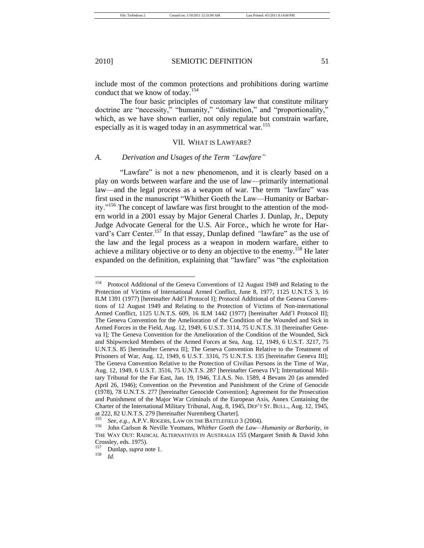include most of the common protections and prohibitions during wartime conduct that we know of today.<sup>154</sup>

The four basic principles of customary law that constitute military doctrine are "necessity," "humanity," "distinction," and "proportionality," which, as we have shown earlier, not only regulate but constrain warfare, especially as it is waged today in an asymmetrical war.<sup>155</sup>

# VII. WHAT IS LAWFARE?

## A. *Derivation and Usages of the Term "Lawfare"*

―Lawfare‖ is not a new phenomenon, and it is clearly based on a play on words between warfare and the use of law—primarily international law—and the legal process as a weapon of war. The term "lawfare" was first used in the manuscript "Whither Goeth the Law—Humanity or Barbarity."<sup>156</sup> The concept of lawfare was first brought to the attention of the modern world in a 2001 essay by Major General Charles J. Dunlap, Jr., Deputy Judge Advocate General for the U.S. Air Force., which he wrote for Harvard's Carr Center.<sup>157</sup> In that essay, Dunlap defined "lawfare" as the use of the law and the legal process as a weapon in modern warfare, either to achieve a military objective or to deny an objective to the enemy.<sup>158</sup> He later expanded on the definition, explaining that "lawfare" was "the exploitation

<sup>&</sup>lt;sup>154</sup> Protocol Additional of the Geneva Conventions of 12 August 1949 and Relating to the Protection of Victims of International Armed Conflict, June 8, 1977, 1125 U.N.T.S 3, 16 ILM 1391 (1977) [hereinafter Add'l Protocol I]; Protocol Additional of the Geneva Conventions of 12 August 1949 and Relating to the Protection of Victims of Non-international Armed Conflict, 1125 U.N.T.S. 609, 16 ILM 1442 (1977) [hereinafter Add'l Protocol II]; The Geneva Convention for the Amelioration of the Condition of the Wounded and Sick in Armed Forces in the Field, Aug. 12, 1949, 6 U.S.T. 3114, 75 U.N.T.S. 31 [hereinafter Geneva I]; The Geneva Convention for the Amelioration of the Condition of the Wounded, Sick and Shipwrecked Members of the Armed Forces at Sea, Aug. 12, 1949, 6 U.S.T. 3217, 75 U.N.T.S. 85 [hereinafter Geneva II]; The Geneva Convention Relative to the Treatment of Prisoners of War, Aug. 12, 1949, 6 U.S.T. 3316, 75 U.N.T.S. 135 [hereinafter Geneva III]; The Geneva Convention Relative to the Protection of Civilian Persons in the Time of War, Aug. 12, 1949, 6 U.S.T. 3516, 75 U.N.T.S. 287 [hereinafter Geneva IV]; International Military Tribunal for the Far East, Jan. 19, 1946, T.I.A.S. No. 1589, 4 Bevans 20 (as amended April 26, 1946); Convention on the Prevention and Punishment of the Crime of Genocide (1978), 78 U.N.T.S. 277 [hereinafter Genocide Convention]; Agreement for the Prosecution and Punishment of the Major War Criminals of the European Axis, Annex Containing the Charter of the International Military Tribunal, Aug. 8, 1945, DEP'T ST. BULL., Aug. 12, 1945, at 222, 82 U.N.T.S. 279 [hereinafter Nuremberg Charter].

<sup>155</sup> *See, e.g.*, A.P.V. ROGERS, LAW ON THE BATTLEFIELD 3 (2004).

<sup>156</sup> John Carlson & Neville Yeomans, *Whither Goeth the Law—Humanity or Barbarity*, *in* THE WAY OUT: RADICAL ALTERNATIVES IN AUSTRALIA 155 (Margaret Smith & David John Crossley, eds. 1975).

 $\frac{157}{158}$  Dunlap, *supra* note 1.

*Id.*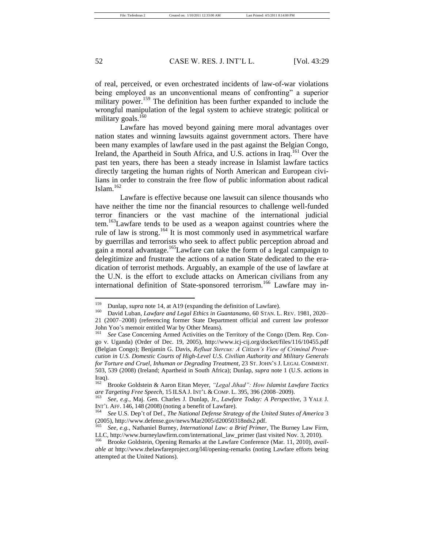of real, perceived, or even orchestrated incidents of law-of-war violations being employed as an unconventional means of confronting" a superior military power.<sup>159</sup> The definition has been further expanded to include the wrongful manipulation of the legal system to achieve strategic political or military goals.<sup>160</sup>

Lawfare has moved beyond gaining mere moral advantages over nation states and winning lawsuits against government actors. There have been many examples of lawfare used in the past against the Belgian Congo, Ireland, the Apartheid in South Africa, and U.S. actions in Iraq.<sup>161</sup> Over the past ten years, there has been a steady increase in Islamist lawfare tactics directly targeting the human rights of North American and European civilians in order to constrain the free flow of public information about radical Islam.<sup>162</sup>

Lawfare is effective because one lawsuit can silence thousands who have neither the time nor the financial resources to challenge well-funded terror financiers or the vast machine of the international judicial tem.<sup>163</sup>Lawfare tends to be used as a weapon against countries where the rule of law is strong.<sup>164</sup> It is most commonly used in asymmetrical warfare by guerrillas and terrorists who seek to affect public perception abroad and gain a moral advantage.<sup>165</sup>Lawfare can take the form of a legal campaign to delegitimize and frustrate the actions of a nation State dedicated to the eradication of terrorist methods. Arguably, an example of the use of lawfare at the U.N. is the effort to exclude attacks on American civilians from any international definition of State-sponsored terrorism.<sup>166</sup> Lawfare may in-

<sup>&</sup>lt;sup>159</sup> Dunlap, *supra* note 14, at A19 (expanding the definition of Lawfare).<br><sup>160</sup> David Luban, *Lawfare and Legal Ethics in Cuantarane* 60 STAN L

<sup>160</sup> David Luban, *Lawfare and Legal Ethics in Guantanamo*, 60 STAN. L. REV. 1981, 2020– 21 (2007–2008) (referencing former State Department official and current law professor John Yoo's memoir entitled War by Other Means).

See Case Concerning Armed Activities on the Territory of the Congo (Dem. Rep. Congo v. Uganda) (Order of Dec. 19, 2005), http://www.icj-cij.org/docket/files/116/10455.pdf (Belgian Congo); Benjamin G. Davis, *Refluat Stercus: A Citizen's View of Criminal Prosecution in U.S. Domestic Courts of High-Level U.S. Civilian Authority and Military Generals for Torture and Cruel, Inhuman or Degrading Treatment*, 23 ST. JOHN'S J. LEGAL COMMENT. 503, 539 (2008) (Ireland; Apartheid in South Africa); Dunlap, *supra* note 1 (U.S. actions in Iraq).

Brooke Goldstein & Aaron Eitan Meyer, "Legal Jihad": How Islamist Lawfare Tactics *are Targeting Free Speech*, 15 ILSA J. INT'L & COMP. L. 395, 396 (2008–2009).

<sup>163</sup> *See, e.g.*, Maj. Gen. Charles J. Dunlap, Jr., *Lawfare Today: A Perspective*, 3 YALE J. INT'L AFF. 146, 148 (2008) (noting a benefit of Lawfare).

<sup>164</sup> *See* U.S. Dep't of Def., *The National Defense Strategy of the United States of America* 3 (2005), http://www.defense.gov/news/Mar2005/d20050318nds2.pdf.

<sup>165</sup> *See, e.g.*, Nathaniel Burney, *International Law: a Brief Primer*, The Burney Law Firm, LLC, http://www.burneylawfirm.com/international\_law\_primer (last visited Nov. 3, 2010).

<sup>166</sup> Brooke Goldstein, Opening Remarks at the Lawfare Conference (Mar. 11, 2010), *available at* http://www.thelawfareproject.org/l4l/opening-remarks (noting Lawfare efforts being attempted at the United Nations).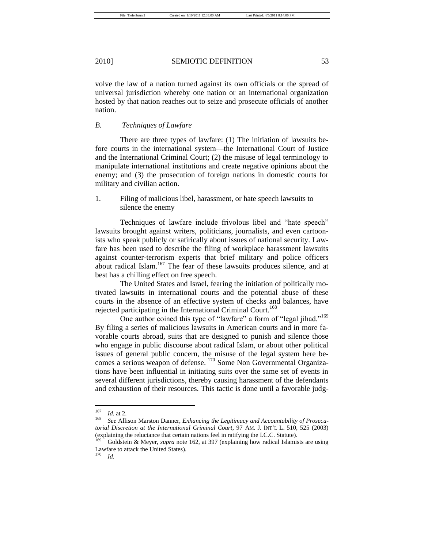volve the law of a nation turned against its own officials or the spread of universal jurisdiction whereby one nation or an international organization hosted by that nation reaches out to seize and prosecute officials of another nation.

# *B. Techniques of Lawfare*

There are three types of lawfare: (1) The initiation of lawsuits before courts in the international system—the International Court of Justice and the International Criminal Court; (2) the misuse of legal terminology to manipulate international institutions and create negative opinions about the enemy; and (3) the prosecution of foreign nations in domestic courts for military and civilian action.

# 1. Filing of malicious libel, harassment, or hate speech lawsuits to silence the enemy

Techniques of lawfare include frivolous libel and "hate speech" lawsuits brought against writers, politicians, journalists, and even cartoonists who speak publicly or satirically about issues of national security. Lawfare has been used to describe the filing of workplace harassment lawsuits against counter-terrorism experts that brief military and police officers about radical Islam.<sup>167</sup> The fear of these lawsuits produces silence, and at best has a chilling effect on free speech.

The United States and Israel, fearing the initiation of politically motivated lawsuits in international courts and the potential abuse of these courts in the absence of an effective system of checks and balances, have rejected participating in the International Criminal Court.<sup>168</sup>

One author coined this type of "lawfare" a form of "legal jihad."<sup>169</sup> By filing a series of malicious lawsuits in American courts and in more favorable courts abroad, suits that are designed to punish and silence those who engage in public discourse about radical Islam, or about other political issues of general public concern, the misuse of the legal system here becomes a serious weapon of defense. <sup>170</sup> Some Non Governmental Organizations have been influential in initiating suits over the same set of events in several different jurisdictions, thereby causing harassment of the defendants and exhaustion of their resources. This tactic is done until a favorable judg-

 $\frac{167}{168}$  *Id.* at 2.

See Allison Marston Danner, *Enhancing the Legitimacy and Accountability of Prosecutorial Discretion at the International Criminal Court*, 97 AM. J. INT'L L. 510, 525 (2003) (explaining the reluctance that certain nations feel in ratifying the I.C.C. Statute).

<sup>169</sup> Goldstein & Meyer, *supra* note 162, at 397 (explaining how radical Islamists are using Lawfare to attack the United States).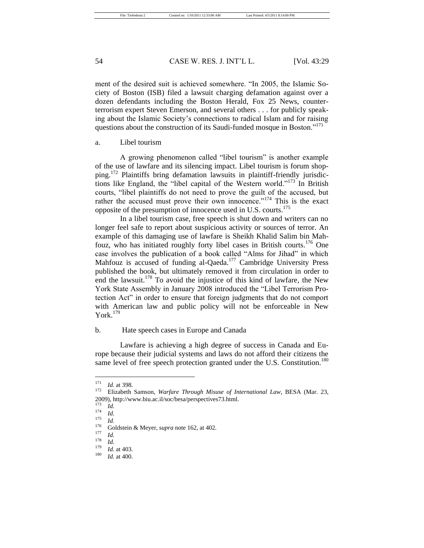ment of the desired suit is achieved somewhere. "In 2005, the Islamic Society of Boston (ISB) filed a lawsuit charging defamation against over a dozen defendants including the Boston Herald, Fox 25 News, counterterrorism expert Steven Emerson, and several others . . . for publicly speaking about the Islamic Society's connections to radical Islam and for raising questions about the construction of its Saudi-funded mosque in Boston."<sup>171</sup>

a. Libel tourism

A growing phenomenon called "libel tourism" is another example of the use of lawfare and its silencing impact. Libel tourism is forum shopping.<sup>172</sup> Plaintiffs bring defamation lawsuits in plaintiff-friendly jurisdictions like England, the "libel capital of the Western world."<sup>173</sup> In British courts, "libel plaintiffs do not need to prove the guilt of the accused, but rather the accused must prove their own innocence."<sup>174</sup> This is the exact opposite of the presumption of innocence used in U.S. courts.<sup>175</sup>

In a libel tourism case, free speech is shut down and writers can no longer feel safe to report about suspicious activity or sources of terror. An example of this damaging use of lawfare is Sheikh Khalid Salim bin Mahfouz, who has initiated roughly forty libel cases in British courts.<sup>176</sup> One case involves the publication of a book called "Alms for Jihad" in which Mahfouz is accused of funding al-Qaeda.<sup>177</sup> Cambridge University Press published the book, but ultimately removed it from circulation in order to end the lawsuit.<sup>178</sup> To avoid the injustice of this kind of lawfare*,* the New York State Assembly in January 2008 introduced the "Libel Terrorism Protection Act" in order to ensure that foreign judgments that do not comport with American law and public policy will not be enforceable in New York. $179$ 

# b. Hate speech cases in Europe and Canada

Lawfare is achieving a high degree of success in Canada and Europe because their judicial systems and laws do not afford their citizens the same level of free speech protection granted under the U.S. Constitution.<sup>180</sup>

<sup>&</sup>lt;sup>171</sup> *Id.* at 398.

<sup>172</sup> Elizabeth Samson, *Warfare Through Misuse of International Law*, BESA (Mar. 23, 2009), http://www.biu.ac.il/soc/besa/perspectives73.html.

 $\frac{173}{174}$  *Id.* 

 $\frac{174}{175}$  *Id.* 

 $\frac{175}{176}$  *Id.* 

<sup>&</sup>lt;sup>176</sup> Goldstein & Meyer, supra note 162, at 402.

 $\frac{177}{178}$  *Id.* 

 $\frac{178}{179}$  *Id.* 

 $\frac{179}{180}$  *Id.* at 403.

*Id.* at 400.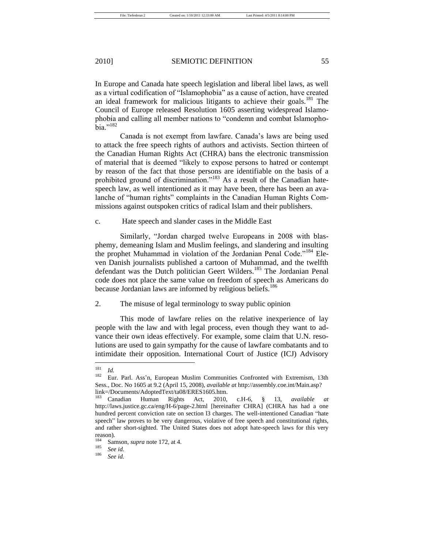In Europe and Canada hate speech legislation and liberal libel laws, as well as a virtual codification of "Islamophobia" as a cause of action, have created an ideal framework for malicious litigants to achieve their goals.<sup>181</sup> The Council of Europe released Resolution 1605 asserting widespread Islamophobia and calling all member nations to "condemn and combat Islamopho- $\bar{b}$ ia."<sup>182</sup>

Canada is not exempt from lawfare. Canada's laws are being used to attack the free speech rights of authors and activists. Section thirteen of the Canadian Human Rights Act (CHRA) bans the electronic transmission of material that is deemed "likely to expose persons to hatred or contempt by reason of the fact that those persons are identifiable on the basis of a prohibited ground of discrimination."<sup>183</sup> As a result of the Canadian hatespeech law, as well intentioned as it may have been, there has been an avalanche of "human rights" complaints in the Canadian Human Rights Commissions against outspoken critics of radical Islam and their publishers.

c. Hate speech and slander cases in the Middle East

Similarly, "Jordan charged twelve Europeans in 2008 with blasphemy, demeaning Islam and Muslim feelings, and slandering and insulting the prophet Muhammad in violation of the Jordanian Penal Code."<sup>184</sup> Eleven Danish journalists published a cartoon of Muhammad, and the twelfth defendant was the Dutch politician Geert Wilders.<sup>185</sup> The Jordanian Penal code does not place the same value on freedom of speech as Americans do because Jordanian laws are informed by religious beliefs.<sup>186</sup>

2. The misuse of legal terminology to sway public opinion

This mode of lawfare relies on the relative inexperience of lay people with the law and with legal process, even though they want to advance their own ideas effectively. For example, some claim that U.N. resolutions are used to gain sympathy for the cause of lawfare combatants and to intimidate their opposition. International Court of Justice (ICJ) Advisory

 $\frac{181}{182}$  *Id.* 

<sup>182</sup> Eur. Parl. Ass'n, European Muslim Communities Confronted with Extremism, 13th Sess., Doc. No 1605 at 9.2 (April 15, 2008), *available at* http://assembly.coe.int/Main.asp? link=/Documents/AdoptedText/ta08/ERES1605.htm.

<sup>183</sup> Canadian Human Rights Act, 2010, c.H-6, § 13, *available at* http://laws.justice.gc.ca/eng/H-6/page-2.html [hereinafter CHRA] (CHRA has had a one hundred percent conviction rate on section 13 charges. The well-intentioned Canadian "hate speech" law proves to be very dangerous, violative of free speech and constitutional rights, and rather short-sighted. The United States does not adopt hate-speech laws for this very reason).<br> $184 \, \text{C}$ 

<sup>&</sup>lt;sup>184</sup> Samson, *supra* note 172, at 4.

 $\frac{185}{186}$  *See id.* 

See id.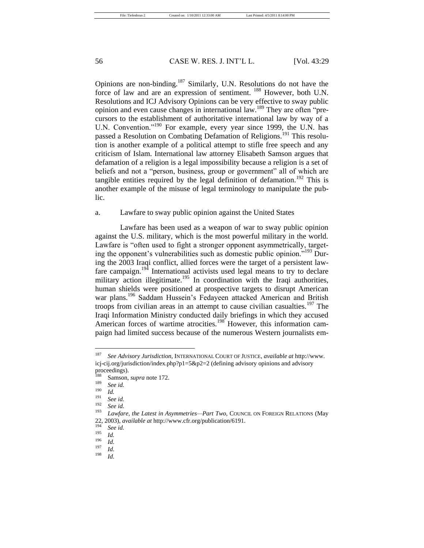Opinions are non-binding.<sup>187</sup> Similarly, U.N. Resolutions do not have the force of law and are an expression of sentiment. <sup>188</sup> However, both U.N. Resolutions and ICJ Advisory Opinions can be very effective to sway public opinion and even cause changes in international law.<sup>189</sup> They are often "precursors to the establishment of authoritative international law by way of a U.N. Convention."<sup>190</sup> For example, every year since 1999, the U.N. has passed a Resolution on Combating Defamation of Religions.<sup>191</sup> This resolution is another example of a political attempt to stifle free speech and any criticism of Islam. International law attorney Elisabeth Samson argues that defamation of a religion is a legal impossibility because a religion is a set of beliefs and not a "person, business, group or government" all of which are tangible entities required by the legal definition of defamation.<sup>192</sup> This is another example of the misuse of legal terminology to manipulate the public.

## a. Lawfare to sway public opinion against the United States

Lawfare has been used as a weapon of war to sway public opinion against the U.S. military, which is the most powerful military in the world. Lawfare is "often used to fight a stronger opponent asymmetrically, targeting the opponent's vulnerabilities such as domestic public opinion.<sup> $193$ </sup> During the 2003 Iraqi conflict, allied forces were the target of a persistent lawfare campaign.<sup>194</sup> International activists used legal means to try to declare military action illegitimate.<sup>195</sup> In coordination with the Iraqi authorities, human shields were positioned at prospective targets to disrupt American war plans.<sup>196</sup> Saddam Hussein's Fedayeen attacked American and British troops from civilian areas in an attempt to cause civilian casualties.<sup>197</sup> The Iraqi Information Ministry conducted daily briefings in which they accused American forces of wartime atrocities.<sup>198</sup> However, this information campaign had limited success because of the numerous Western journalists em-

<sup>187</sup> *See Advisory Jurisdiction*, INTERNATIONAL COURT OF JUSTICE, *available at* http://www. icj-cij.org/jurisdiction/index.php?p1=5&p2=2 (defining advisory opinions and advisory

proceedings).  $\frac{188}{189}$  Samson, *supra* note 172.

<sup>189</sup> *See id.*

 $\frac{190}{191}$  *Id.* 

 $\frac{191}{192}$  *See id.* 

 $\int_{193}^{192}$  *See id.* 

Lawfare, the Latest in Asymmetries-Part Two, COUNCIL ON FOREIGN RELATIONS (May 22, 2003), *available at* http://www.cfr.org/publication/6191.

<sup>194</sup> *See id.*

 $\frac{195}{196}$  *Id.* 

 $\frac{196}{197}$  *Id.* 

 $\frac{197}{198}$  *Id.* 

<sup>198</sup> *Id*.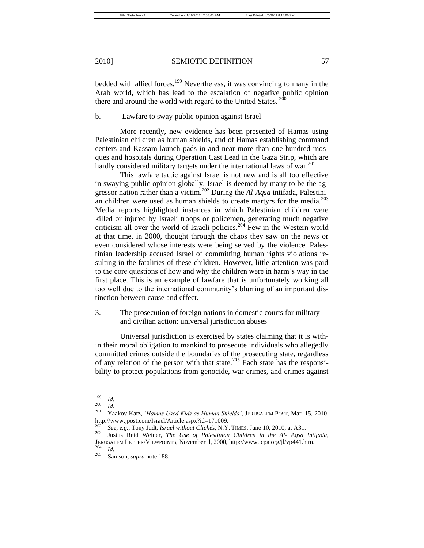bedded with allied forces.<sup>199</sup> Nevertheless, it was convincing to many in the Arab world, which has lead to the escalation of negative public opinion there and around the world with regard to the United States. <sup>200</sup>

b. Lawfare to sway public opinion against Israel

More recently, new evidence has been presented of Hamas using Palestinian children as human shields, and of Hamas establishing command centers and Kassam launch pads in and near more than one hundred mosques and hospitals during Operation Cast Lead in the Gaza Strip, which are hardly considered military targets under the international laws of war. $^{201}$ 

This lawfare tactic against Israel is not new and is all too effective in swaying public opinion globally. Israel is deemed by many to be the aggressor nation rather than a victim.<sup>202</sup> During the *Al-Aqsa* intifada, Palestinian children were used as human shields to create martyrs for the media.<sup>203</sup> Media reports highlighted instances in which Palestinian children were killed or injured by Israeli troops or policemen, generating much negative criticism all over the world of Israeli policies.<sup>204</sup> Few in the Western world at that time, in 2000, thought through the chaos they saw on the news or even considered whose interests were being served by the violence. Palestinian leadership accused Israel of committing human rights violations resulting in the fatalities of these children. However, little attention was paid to the core questions of how and why the children were in harm's way in the first place. This is an example of lawfare that is unfortunately working all too well due to the international community's blurring of an important distinction between cause and effect.

3. The prosecution of foreign nations in domestic courts for military and civilian action: universal jurisdiction abuses

Universal jurisdiction is exercised by states claiming that it is within their moral obligation to mankind to prosecute individuals who allegedly committed crimes outside the boundaries of the prosecuting state, regardless of any relation of the person with that state.<sup>205</sup> Each state has the responsibility to protect populations from genocide, war crimes, and crimes against

 $\frac{199}{200}$  *Id.* 

 $\frac{200}{201}$  *Id.* 

<sup>201</sup> Yaakov Katz, *‗Hamas Used Kids as Human Shields'*, JERUSALEM POST, Mar. 15, 2010, http://www.jpost.com/Israel/Article.aspx?id=171009.

<sup>202</sup> *See, e.g.*, Tony Judt, *Israel without Clichés*, N.Y. TIMES, June 10, 2010, at A31.

<sup>203</sup> Justus Reid Weiner, *The Use of Palestinian Children in the Al- Aqsa Intifada*, JERUSALEM LETTER/VIEWPOINTS, November l, 2000, http://www.jcpa.org/jl/vp441.htm.

 $\frac{204}{205}$  *Id.* 

Samson, *supra* note 188.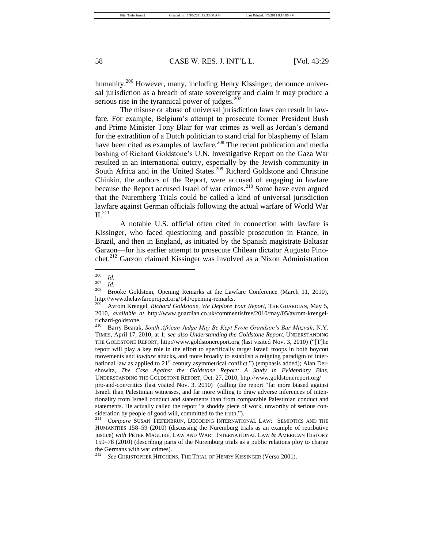humanity.<sup>206</sup> However, many, including Henry Kissinger, denounce universal jurisdiction as a breach of state sovereignty and claim it may produce a serious rise in the tyrannical power of judges. $207$ 

The misuse or abuse of universal jurisdiction laws can result in lawfare*.* For example, Belgium's attempt to prosecute former President Bush and Prime Minister Tony Blair for war crimes as well as Jordan's demand for the extradition of a Dutch politician to stand trial for blasphemy of Islam have been cited as examples of lawfare*.* <sup>208</sup> The recent publication and media bashing of Richard Goldstone's U*.*N*.* Investigative Report on the Gaza War resulted in an international outcry, especially by the Jewish community in South Africa and in the United States.<sup>209</sup> Richard Goldstone and Christine Chinkin, the authors of the Report, were accused of engaging in lawfare because the Report accused Israel of war crimes.<sup>210</sup> Some have even argued that the Nuremberg Trials could be called a kind of universal jurisdiction lawfare against German officials following the actual warfare of World War  $II<sup>.211</sup>$ 

A notable U.S. official often cited in connection with lawfare is Kissinger, who faced questioning and possible prosecution in France, in Brazil, and then in England, as initiated by the Spanish magistrate Baltasar Garzon—for his earlier attempt to prosecute Chilean dictator Augusto Pinochet.<sup>212</sup> Garzon claimed Kissinger was involved as a Nixon Administration

pro-and-con/critics (last visited Nov. 3, 2010) (calling the report "far more biased against Israeli than Palestinian witnesses, and far more willing to draw adverse inferences of intentionality from Israeli conduct and statements than from comparable Palestinian conduct and statements. He actually called the report "a shoddy piece of work, unworthy of serious consideration by people of good will, committed to the truth.").<br> $211$  Compass Symmetre T

 $\frac{206}{207}$  *Id.* 

 $\frac{207}{208}$  *Id.* 

Brooke Goldstein, Opening Remarks at the Lawfare Conference (March 11, 2010), http://www.thelawfareproject.org/141/opening-remarks.

Avrom Krengel, *Richard Goldstone, We Deplore Your Report*, THE GUARDIAN, May 5, 2010, *available at* http://www.guardian.co.uk/commentisfree/2010/may/05/avrom-krengelrichard-goldstone.<br><sup>210</sup> Bergy Bearsh

<sup>210</sup> Barry Bearak, *South African Judge May Be Kept From Grandson's Bar Mitzvah*, N.Y. TIMES, April 17, 2010, at 1; *see also Understanding the Goldstone Report*, UNDERSTANDING THE GOLDSTONE REPORT, http://www.goldstonereport.org (last visited Nov. 3, 2010) ("[T]he report will play a key role in the effort to specifically target Israeli troops in both boycott movements and *lawfare* attacks, and more broadly to establish a reigning paradigm of international law as applied to  $21<sup>st</sup>$  century asymmetrical conflict.") (emphasis added); Alan Dershowitz, *The Case Against the Goldstone Report: A Study in Evidentiary Bias*, UNDERSTANDING THE GOLDSTONE REPORT, Oct. 27, 2010, http://www.goldstonereport.org/

Compare SUSAN TIEFENBRUN, DECODING INTERNATIONAL LAW: SEMIOTICS AND THE HUMANITIES 158–59 (2010) (discussing the Nuremburg trials as an example of retributive justice) *with* PETER MAGUIRE, LAW AND WAR: INTERNATIONAL LAW & AMERICAN HISTORY 159–78 (2010) (describing parts of the Nuremburg trials as a public relations ploy to charge the Germans with war crimes).

See CHRISTOPHER HITCHENS, THE TRIAL OF HENRY KISSINGER (Verso 2001).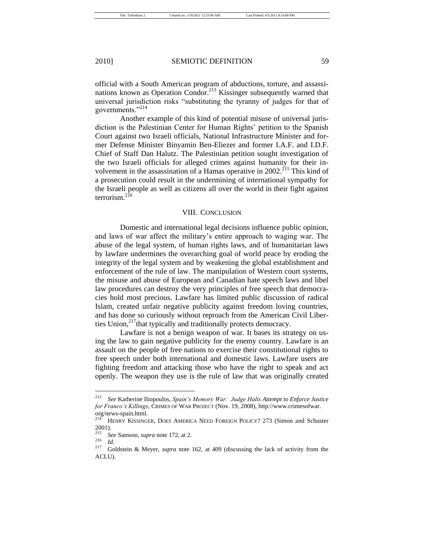official with a South American program of abductions, torture, and assassinations known as Operation Condor.<sup>213</sup> Kissinger subsequently warned that universal jurisdiction risks "substituting the tyranny of judges for that of governments."<sup>214</sup>

Another example of this kind of potential misuse of universal jurisdiction is the Palestinian Center for Human Rights' petition to the Spanish Court against two Israeli officials, National Infrastructure Minister and former Defense Minister Binyamin Ben-Eliezer and former I.A.F. and I.D.F. Chief of Staff Dan Halutz. The Palestinian petition sought investigation of the two Israeli officials for alleged crimes against humanity for their involvement in the assassination of a Hamas operative in 2002.<sup>215</sup> This kind of a prosecution could result in the undermining of international sympathy for the Israeli people as well as citizens all over the world in their fight against terrorism. $^{2\overline{16}}$ 

## VIII. CONCLUSION

Domestic and international legal decisions influence public opinion, and laws of war affect the military's entire approach to waging war. The abuse of the legal system, of human rights laws, and of humanitarian laws by lawfare undermines the overarching goal of world peace by eroding the integrity of the legal system and by weakening the global establishment and enforcement of the rule of law. The manipulation of Western court systems, the misuse and abuse of European and Canadian hate speech laws and libel law procedures can destroy the very principles of free speech that democracies hold most precious. Lawfare has limited public discussion of radical Islam, created unfair negative publicity against freedom loving countries, and has done so curiously without reproach from the American Civil Liberties Union,<sup>217</sup>that typically and traditionally protects democracy.

Lawfare is not a benign weapon of war. It bases its strategy on using the law to gain negative publicity for the enemy country. Lawfare is an assault on the people of free nations to exercise their constitutional rights to free speech under both international and domestic laws. Lawfare users are fighting freedom and attacking those who have the right to speak and act openly. The weapon they use is the rule of law that was originally created

<sup>213</sup> *See* Katherine Iliopoulos, *Spain's Memory War: Judge Halts Attempt to Enforce Justice for Franco's Killings*, CRIMES OF WAR PROJECT (Nov. 19, 2008), http://www.crimesofwar. org/news-spain.html.

<sup>214</sup> HENRY KISSINGER, DOES AMERICA NEED FOREIGN POLICY? 273 (Simon and Schuster  $^{2001}_{215}$ .

<sup>215</sup> *See* Samson, *supra* note 172, at 2.

 $\frac{216}{217}$  *Id.* 

<sup>217</sup> Goldstein & Meyer, *supra* note 162, at 409 (discussing the lack of activity from the ACLU).